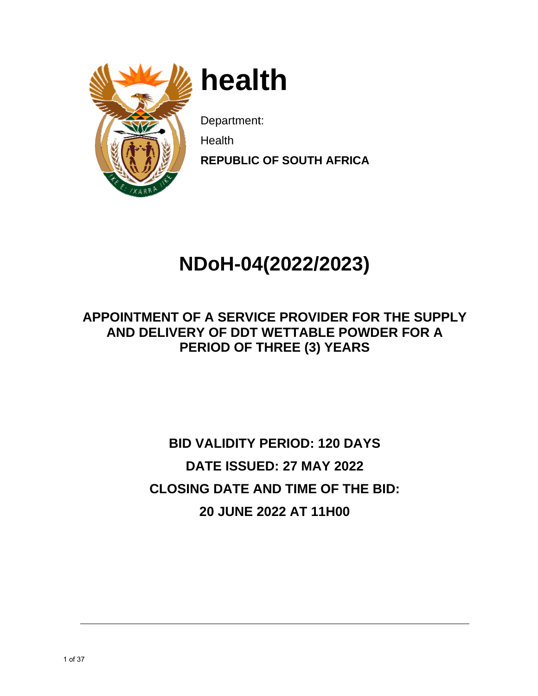

**h heal th** 

Department:

**N** Health

**REPUBLIC OF SOUTH AFRICA** 

# $NDoH-04(2022/2023)$

## **APPOINTMENT OF A SERVICE PROVIDER FOR THE SUPPLY AN ND DEL LIVERY O OF DDT WETTA ABLE PO OWDER FOR A PERIOD OF THREE (3) YEARS**

# **CL LOSING DATE A AND TIM ME OF TH HE BID: BID VALIDITY PERIOD: 120 DAYS** DATE ISSUED: 27 MAY 2022 **20 0 JUNE 2 2022 AT T 11H00**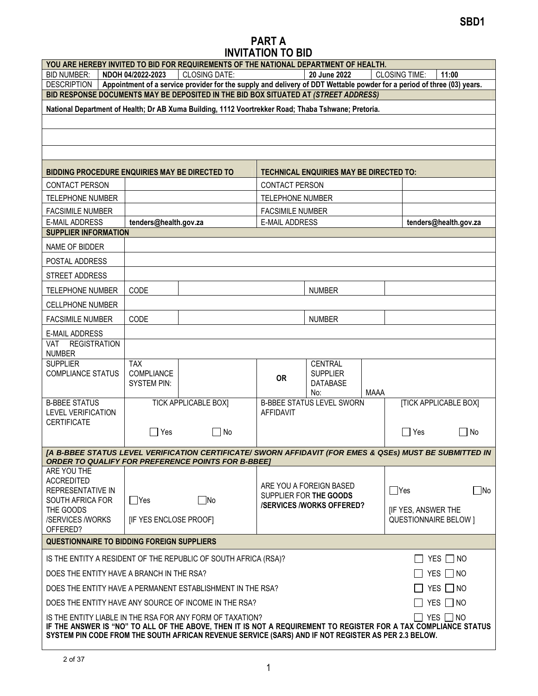## PART A INVITATION TO BID

|                                                                            |                                                                                                                                                                                                                        | YOU ARE HEREBY INVITED TO BID FOR REQUIREMENTS OF THE NATIONAL DEPARTMENT OF HEALTH.                                                                                 |                         |                                                |             |                              |                              |
|----------------------------------------------------------------------------|------------------------------------------------------------------------------------------------------------------------------------------------------------------------------------------------------------------------|----------------------------------------------------------------------------------------------------------------------------------------------------------------------|-------------------------|------------------------------------------------|-------------|------------------------------|------------------------------|
| <b>BID NUMBER:</b>                                                         | NDOH 04/2022-2023                                                                                                                                                                                                      | <b>CLOSING DATE:</b>                                                                                                                                                 |                         | 20 June 2022                                   |             | <b>CLOSING TIME:</b>         | 11:00                        |
| <b>DESCRIPTION</b>                                                         |                                                                                                                                                                                                                        | Appointment of a service provider for the supply and delivery of DDT Wettable powder for a period of three (03) years.                                               |                         |                                                |             |                              |                              |
|                                                                            |                                                                                                                                                                                                                        | BID RESPONSE DOCUMENTS MAY BE DEPOSITED IN THE BID BOX SITUATED AT (STREET ADDRESS)                                                                                  |                         |                                                |             |                              |                              |
|                                                                            |                                                                                                                                                                                                                        | National Department of Health; Dr AB Xuma Building, 1112 Voortrekker Road; Thaba Tshwane; Pretoria.                                                                  |                         |                                                |             |                              |                              |
|                                                                            |                                                                                                                                                                                                                        |                                                                                                                                                                      |                         |                                                |             |                              |                              |
|                                                                            |                                                                                                                                                                                                                        |                                                                                                                                                                      |                         |                                                |             |                              |                              |
|                                                                            |                                                                                                                                                                                                                        |                                                                                                                                                                      |                         |                                                |             |                              |                              |
|                                                                            |                                                                                                                                                                                                                        |                                                                                                                                                                      |                         |                                                |             |                              |                              |
| BIDDING PROCEDURE ENQUIRIES MAY BE DIRECTED TO                             |                                                                                                                                                                                                                        |                                                                                                                                                                      |                         | <b>TECHNICAL ENQUIRIES MAY BE DIRECTED TO:</b> |             |                              |                              |
| <b>CONTACT PERSON</b>                                                      |                                                                                                                                                                                                                        |                                                                                                                                                                      | <b>CONTACT PERSON</b>   |                                                |             |                              |                              |
| TELEPHONE NUMBER                                                           |                                                                                                                                                                                                                        |                                                                                                                                                                      | TELEPHONE NUMBER        |                                                |             |                              |                              |
| <b>FACSIMILE NUMBER</b>                                                    |                                                                                                                                                                                                                        |                                                                                                                                                                      | <b>FACSIMILE NUMBER</b> |                                                |             |                              |                              |
| <b>E-MAIL ADDRESS</b>                                                      | tenders@health.gov.za                                                                                                                                                                                                  |                                                                                                                                                                      | <b>E-MAIL ADDRESS</b>   |                                                |             |                              | tenders@health.gov.za        |
| <b>SUPPLIER INFORMATION</b>                                                |                                                                                                                                                                                                                        |                                                                                                                                                                      |                         |                                                |             |                              |                              |
| NAME OF BIDDER                                                             |                                                                                                                                                                                                                        |                                                                                                                                                                      |                         |                                                |             |                              |                              |
| POSTAL ADDRESS                                                             |                                                                                                                                                                                                                        |                                                                                                                                                                      |                         |                                                |             |                              |                              |
| STREET ADDRESS                                                             |                                                                                                                                                                                                                        |                                                                                                                                                                      |                         |                                                |             |                              |                              |
| <b>TELEPHONE NUMBER</b>                                                    | CODE                                                                                                                                                                                                                   |                                                                                                                                                                      |                         | <b>NUMBER</b>                                  |             |                              |                              |
| <b>CELLPHONE NUMBER</b>                                                    |                                                                                                                                                                                                                        |                                                                                                                                                                      |                         |                                                |             |                              |                              |
| <b>FACSIMILE NUMBER</b>                                                    | CODE                                                                                                                                                                                                                   |                                                                                                                                                                      |                         | <b>NUMBER</b>                                  |             |                              |                              |
| E-MAIL ADDRESS                                                             |                                                                                                                                                                                                                        |                                                                                                                                                                      |                         |                                                |             |                              |                              |
| <b>REGISTRATION</b><br><b>VAT</b>                                          |                                                                                                                                                                                                                        |                                                                                                                                                                      |                         |                                                |             |                              |                              |
| <b>NUMBER</b>                                                              |                                                                                                                                                                                                                        |                                                                                                                                                                      |                         |                                                |             |                              |                              |
| <b>SUPPLIER</b><br><b>COMPLIANCE STATUS</b>                                | <b>TAX</b><br>COMPLIANCE                                                                                                                                                                                               |                                                                                                                                                                      |                         | <b>CENTRAL</b><br><b>SUPPLIER</b>              |             |                              |                              |
|                                                                            | <b>SYSTEM PIN:</b>                                                                                                                                                                                                     |                                                                                                                                                                      | <b>OR</b>               | <b>DATABASE</b>                                |             |                              |                              |
|                                                                            |                                                                                                                                                                                                                        |                                                                                                                                                                      |                         | No:                                            | <b>MAAA</b> |                              |                              |
| <b>B-BBEE STATUS</b>                                                       |                                                                                                                                                                                                                        | <b>TICK APPLICABLE BOX]</b>                                                                                                                                          |                         | <b>B-BBEE STATUS LEVEL SWORN</b>               |             |                              | <b>[TICK APPLICABLE BOX]</b> |
| <b>LEVEL VERIFICATION</b>                                                  |                                                                                                                                                                                                                        |                                                                                                                                                                      | AFFIDAVIT               |                                                |             |                              |                              |
| <b>CERTIFICATE</b>                                                         | $\Box$ Yes                                                                                                                                                                                                             | $\Box$ No                                                                                                                                                            |                         |                                                |             | $\sqsupset$ Yes              | $\Box$ No                    |
|                                                                            |                                                                                                                                                                                                                        |                                                                                                                                                                      |                         |                                                |             |                              |                              |
|                                                                            |                                                                                                                                                                                                                        | [A B-BBEE STATUS LEVEL VERIFICATION CERTIFICATE/ SWORN AFFIDAVIT (FOR EMES & QSEs) MUST BE SUBMITTED IN<br><b>ORDER TO QUALIFY FOR PREFERENCE POINTS FOR B-BBEET</b> |                         |                                                |             |                              |                              |
| ARE YOU THE                                                                |                                                                                                                                                                                                                        |                                                                                                                                                                      |                         |                                                |             |                              |                              |
| <b>ACCREDITED</b>                                                          |                                                                                                                                                                                                                        |                                                                                                                                                                      |                         | ARE YOU A FOREIGN BASED                        |             |                              |                              |
| REPRESENTATIVE IN                                                          |                                                                                                                                                                                                                        |                                                                                                                                                                      |                         | SUPPLIER FOR THE GOODS                         |             | $\Box$ Yes                   | $\square$ No                 |
| SOUTH AFRICA FOR<br>THE GOODS                                              | $\Box$ Yes                                                                                                                                                                                                             | $\Box$ No                                                                                                                                                            |                         | <b>/SERVICES/WORKS OFFERED?</b>                |             | [IF YES, ANSWER THE          |                              |
| /SERVICES /WORKS                                                           | [IF YES ENCLOSE PROOF]                                                                                                                                                                                                 |                                                                                                                                                                      |                         |                                                |             | <b>QUESTIONNAIRE BELOW 1</b> |                              |
| OFFERED?                                                                   |                                                                                                                                                                                                                        |                                                                                                                                                                      |                         |                                                |             |                              |                              |
| <b>QUESTIONNAIRE TO BIDDING FOREIGN SUPPLIERS</b>                          |                                                                                                                                                                                                                        |                                                                                                                                                                      |                         |                                                |             |                              |                              |
|                                                                            |                                                                                                                                                                                                                        | IS THE ENTITY A RESIDENT OF THE REPUBLIC OF SOUTH AFRICA (RSA)?                                                                                                      |                         |                                                |             |                              | $\Box$ YES $\Box$ NO         |
| DOES THE ENTITY HAVE A BRANCH IN THE RSA?<br>$YES \Box NO$                 |                                                                                                                                                                                                                        |                                                                                                                                                                      |                         |                                                |             |                              |                              |
| $YES \t{No}$<br>DOES THE ENTITY HAVE A PERMANENT ESTABLISHMENT IN THE RSA? |                                                                                                                                                                                                                        |                                                                                                                                                                      |                         |                                                |             |                              |                              |
| YES $\Box$ NO<br>DOES THE ENTITY HAVE ANY SOURCE OF INCOME IN THE RSA?     |                                                                                                                                                                                                                        |                                                                                                                                                                      |                         |                                                |             |                              |                              |
|                                                                            | $YES \Box NO$<br>IS THE ENTITY LIABLE IN THE RSA FOR ANY FORM OF TAXATION?                                                                                                                                             |                                                                                                                                                                      |                         |                                                |             |                              |                              |
|                                                                            | IF THE ANSWER IS "NO" TO ALL OF THE ABOVE, THEN IT IS NOT A REQUIREMENT TO REGISTER FOR A TAX COMPLIANCE STATUS<br>SYSTEM PIN CODE FROM THE SOUTH AFRICAN REVENUE SERVICE (SARS) AND IF NOT REGISTER AS PER 2.3 BELOW. |                                                                                                                                                                      |                         |                                                |             |                              |                              |
|                                                                            |                                                                                                                                                                                                                        |                                                                                                                                                                      |                         |                                                |             |                              |                              |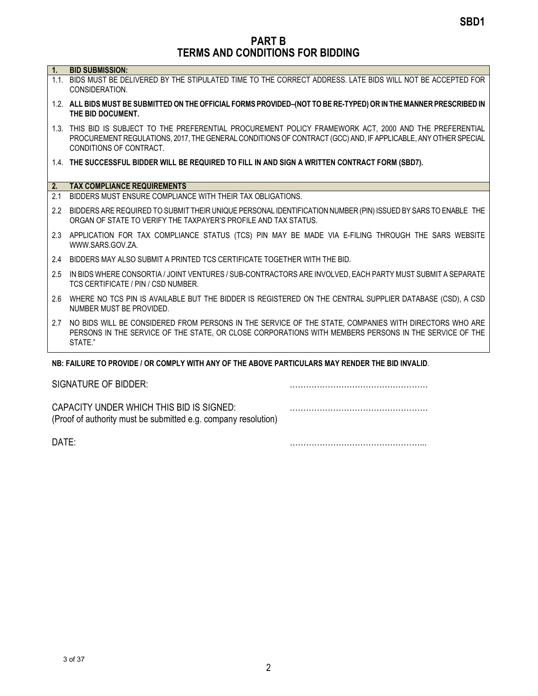PART B TERMS AND CONDITIONS FOR BIDDING

| Ч. |  |  |  | <b>BID SUBMISSION:</b> |  |
|----|--|--|--|------------------------|--|
|----|--|--|--|------------------------|--|

- 1.1. BIDS MUST BE DELIVERED BY THE STIPULATED TIME TO THE CORRECT ADDRESS. LATE BIDS WILL NOT BE ACCEPTED FOR CONSIDERATION.
- 1.2. ALL BIDS MUST BE SUBMITTED ON THE OFFICIAL FORMS PROVIDED–(NOT TO BE RE-TYPED) OR IN THE MANNER PRESCRIBED IN THE BID DOCUMENT.
- 1.3. THIS BID IS SUBJECT TO THE PREFERENTIAL PROCUREMENT POLICY FRAMEWORK ACT, 2000 AND THE PREFERENTIAL PROCUREMENT REGULATIONS, 2017, THE GENERAL CONDITIONS OF CONTRACT (GCC) AND, IF APPLICABLE, ANY OTHER SPECIAL CONDITIONS OF CONTRACT.
- 1.4. THE SUCCESSFUL BIDDER WILL BE REQUIRED TO FILL IN AND SIGN A WRITTEN CONTRACT FORM (SBD7).

#### 2. TAX COMPLIANCE REQUIREMENTS

- 2.1 BIDDERS MUST ENSURE COMPLIANCE WITH THEIR TAX OBLIGATIONS.
- 2.2 BIDDERS ARE REQUIRED TO SUBMIT THEIR UNIQUE PERSONAL IDENTIFICATION NUMBER (PIN) ISSUED BY SARS TO ENABLE THE ORGAN OF STATE TO VERIFY THE TAXPAYER'S PROFILE AND TAX STATUS.
- 2.3 APPLICATION FOR TAX COMPLIANCE STATUS (TCS) PIN MAY BE MADE VIA E-FILING THROUGH THE SARS WEBSITE WWW.SARS.GOV.ZA.
- 2.4 BIDDERS MAY ALSO SUBMIT A PRINTED TCS CERTIFICATE TOGETHER WITH THE BID.
- 2.5 IN BIDS WHERE CONSORTIA / JOINT VENTURES / SUB-CONTRACTORS ARE INVOLVED, EACH PARTY MUST SUBMIT A SEPARATE TCS CERTIFICATE / PIN / CSD NUMBER.
- 2.6 WHERE NO TCS PIN IS AVAILABLE BUT THE BIDDER IS REGISTERED ON THE CENTRAL SUPPLIER DATABASE (CSD), A CSD NUMBER MUST BE PROVIDED.
- 2.7 NO BIDS WILL BE CONSIDERED FROM PERSONS IN THE SERVICE OF THE STATE, COMPANIES WITH DIRECTORS WHO ARE PERSONS IN THE SERVICE OF THE STATE, OR CLOSE CORPORATIONS WITH MEMBERS PERSONS IN THE SERVICE OF THE STATE."

#### NB: FAILURE TO PROVIDE / OR COMPLY WITH ANY OF THE ABOVE PARTICULARS MAY RENDER THE BID INVALID.

| SIGNATURE OF BIDDER:                                                                                       |  |
|------------------------------------------------------------------------------------------------------------|--|
| CAPACITY UNDER WHICH THIS BID IS SIGNED:<br>(Proof of authority must be submitted e.g. company resolution) |  |

DATE: <u>matrices</u>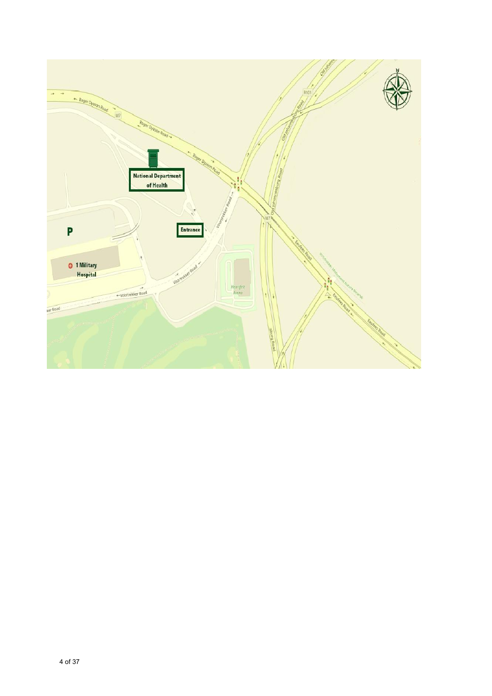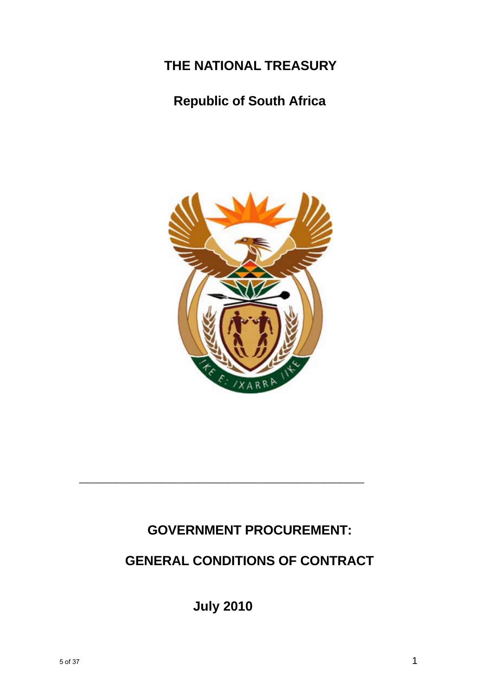## **THE NATIONAL TREASURY**

## **Republic of South Africa**



## **GOVERNMENT PROCUREMENT:**

## **GENERAL CONDITIONS OF CONTRACT**

**July 2010**

**\_\_\_\_\_\_\_\_\_\_\_\_\_\_\_\_\_\_\_\_\_\_\_\_\_\_\_\_\_\_\_\_\_\_\_\_\_\_\_\_\_\_\_\_\_\_\_\_\_\_\_\_\_\_\_\_\_\_\_\_\_\_\_\_\_\_\_\_\_**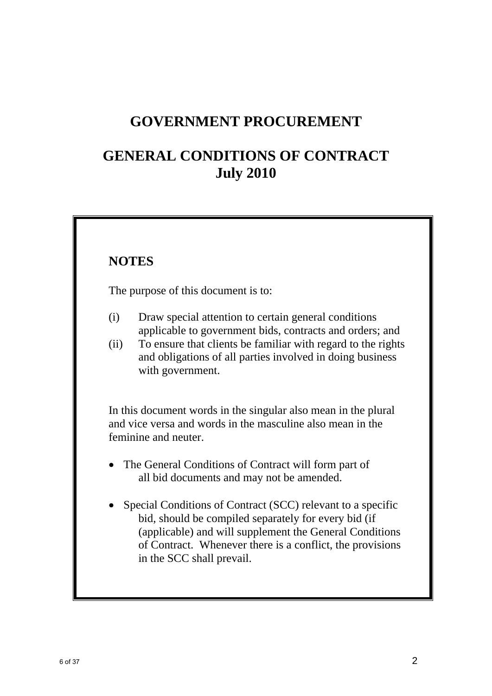## **GOVERNMENT PROCUREMENT**

## **GENERAL CONDITIONS OF CONTRACT July 2010**

## **NOTES**

The purpose of this document is to:

- (i) Draw special attention to certain general conditions applicable to government bids, contracts and orders; and
- (ii) To ensure that clients be familiar with regard to the rights and obligations of all parties involved in doing business with government.

 In this document words in the singular also mean in the plural and vice versa and words in the masculine also mean in the feminine and neuter.

- The General Conditions of Contract will form part of all bid documents and may not be amended.
- Special Conditions of Contract (SCC) relevant to a specific bid, should be compiled separately for every bid (if (applicable) and will supplement the General Conditions of Contract. Whenever there is a conflict, the provisions in the SCC shall prevail.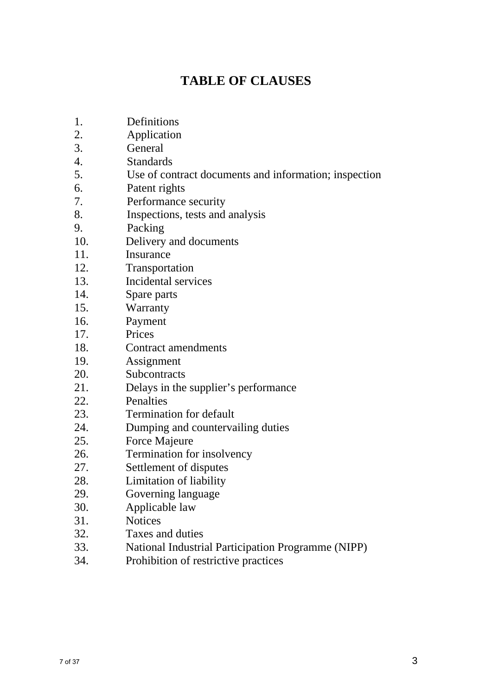## **TABLE OF CLAUSES**

- 1. Definitions
- 2. Application
- 3. General
- 4. Standards
- 5. Use of contract documents and information; inspection
- 6. Patent rights
- 7. Performance security
- 8. Inspections, tests and analysis
- 9. Packing
- 10. Delivery and documents
- 11. Insurance
- 12. Transportation
- 13. Incidental services
- 14. Spare parts
- 15. Warranty
- 16. Payment
- 17. Prices
- 18. Contract amendments
- 19. Assignment
- 20. Subcontracts
- 21. Delays in the supplier's performance
- 22. Penalties
- 23. Termination for default
- 24. Dumping and countervailing duties
- 25. Force Majeure
- 26. Termination for insolvency
- 27. Settlement of disputes
- 28. Limitation of liability
- 29. Governing language
- 30. Applicable law
- 31. Notices
- 32. Taxes and duties
- 33. National Industrial Participation Programme (NIPP)
- 34. Prohibition of restrictive practices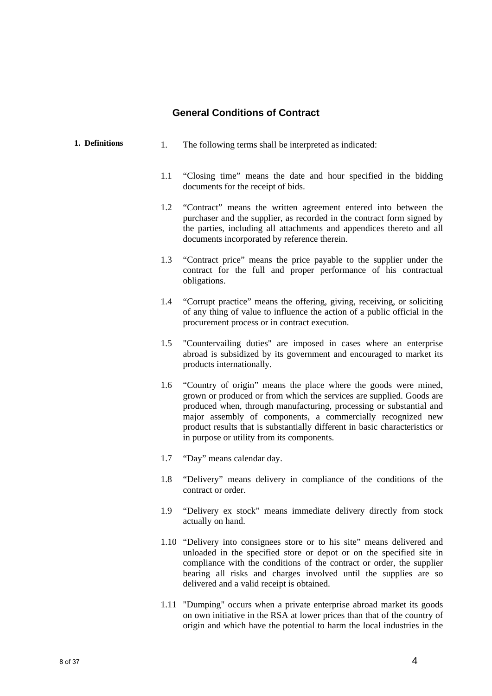## **General Conditions of Contract**

| 1. Definitions | 1.  | The following terms shall be interpreted as indicated:                                                                                                                                                                                                                                                                                                                                                     |
|----------------|-----|------------------------------------------------------------------------------------------------------------------------------------------------------------------------------------------------------------------------------------------------------------------------------------------------------------------------------------------------------------------------------------------------------------|
|                | 1.1 | "Closing time" means the date and hour specified in the bidding<br>documents for the receipt of bids.                                                                                                                                                                                                                                                                                                      |
|                | 1.2 | "Contract" means the written agreement entered into between the<br>purchaser and the supplier, as recorded in the contract form signed by<br>the parties, including all attachments and appendices thereto and all<br>documents incorporated by reference therein.                                                                                                                                         |
|                | 1.3 | "Contract price" means the price payable to the supplier under the<br>contract for the full and proper performance of his contractual<br>obligations.                                                                                                                                                                                                                                                      |
|                | 1.4 | "Corrupt practice" means the offering, giving, receiving, or soliciting<br>of any thing of value to influence the action of a public official in the<br>procurement process or in contract execution.                                                                                                                                                                                                      |
|                | 1.5 | "Countervailing duties" are imposed in cases where an enterprise<br>abroad is subsidized by its government and encouraged to market its<br>products internationally.                                                                                                                                                                                                                                       |
|                | 1.6 | "Country of origin" means the place where the goods were mined,<br>grown or produced or from which the services are supplied. Goods are<br>produced when, through manufacturing, processing or substantial and<br>major assembly of components, a commercially recognized new<br>product results that is substantially different in basic characteristics or<br>in purpose or utility from its components. |
|                | 1.7 | "Day" means calendar day.                                                                                                                                                                                                                                                                                                                                                                                  |
|                | 1.8 | "Delivery" means delivery in compliance of the conditions of the<br>contract or order.                                                                                                                                                                                                                                                                                                                     |
|                | 1.9 | "Delivery ex stock" means immediate delivery directly from stock<br>actually on hand.                                                                                                                                                                                                                                                                                                                      |
|                |     | 1.10 "Delivery into consignees store or to his site" means delivered and<br>unloaded in the specified store or depot or on the specified site in<br>compliance with the conditions of the contract or order, the supplier<br>bearing all risks and charges involved until the supplies are so<br>delivered and a valid receipt is obtained.                                                                |

1.11 "Dumping" occurs when a private enterprise abroad market its goods on own initiative in the RSA at lower prices than that of the country of origin and which have the potential to harm the local industries in the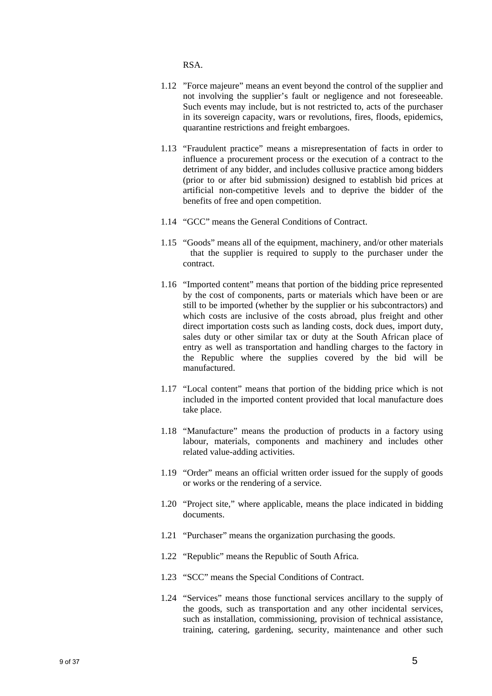RSA.

- 1.12 "Force majeure" means an event beyond the control of the supplier and not involving the supplier's fault or negligence and not foreseeable. Such events may include, but is not restricted to, acts of the purchaser in its sovereign capacity, wars or revolutions, fires, floods, epidemics, quarantine restrictions and freight embargoes.
- 1.13 "Fraudulent practice" means a misrepresentation of facts in order to influence a procurement process or the execution of a contract to the detriment of any bidder, and includes collusive practice among bidders (prior to or after bid submission) designed to establish bid prices at artificial non-competitive levels and to deprive the bidder of the benefits of free and open competition.
- 1.14 "GCC" means the General Conditions of Contract.
- 1.15 "Goods" means all of the equipment, machinery, and/or other materials that the supplier is required to supply to the purchaser under the contract.
- 1.16 "Imported content" means that portion of the bidding price represented by the cost of components, parts or materials which have been or are still to be imported (whether by the supplier or his subcontractors) and which costs are inclusive of the costs abroad, plus freight and other direct importation costs such as landing costs, dock dues, import duty, sales duty or other similar tax or duty at the South African place of entry as well as transportation and handling charges to the factory in the Republic where the supplies covered by the bid will be manufactured.
- 1.17 "Local content" means that portion of the bidding price which is not included in the imported content provided that local manufacture does take place.
- 1.18 "Manufacture" means the production of products in a factory using labour, materials, components and machinery and includes other related value-adding activities.
- 1.19 "Order" means an official written order issued for the supply of goods or works or the rendering of a service.
- 1.20 "Project site," where applicable, means the place indicated in bidding documents.
- 1.21 "Purchaser" means the organization purchasing the goods.
- 1.22 "Republic" means the Republic of South Africa.
- 1.23 "SCC" means the Special Conditions of Contract.
- 1.24 "Services" means those functional services ancillary to the supply of the goods, such as transportation and any other incidental services, such as installation, commissioning, provision of technical assistance, training, catering, gardening, security, maintenance and other such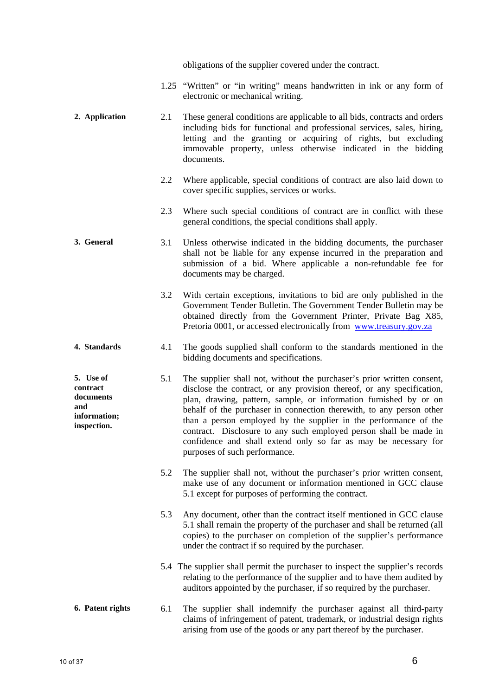obligations of the supplier covered under the contract.

- 1.25 "Written" or "in writing" means handwritten in ink or any form of electronic or mechanical writing.
- **2. Application** 2.1 These general conditions are applicable to all bids, contracts and orders including bids for functional and professional services, sales, hiring, letting and the granting or acquiring of rights, but excluding immovable property, unless otherwise indicated in the bidding documents.
	- 2.2 Where applicable, special conditions of contract are also laid down to cover specific supplies, services or works.
	- 2.3 Where such special conditions of contract are in conflict with these general conditions, the special conditions shall apply.
- **3. General** 3.1 Unless otherwise indicated in the bidding documents, the purchaser shall not be liable for any expense incurred in the preparation and submission of a bid. Where applicable a non-refundable fee for documents may be charged.
	- 3.2 With certain exceptions, invitations to bid are only published in the Government Tender Bulletin. The Government Tender Bulletin may be obtained directly from the Government Printer, Private Bag X85, Pretoria 0001, or accessed electronically from www.treasury.gov.za
- **4. Standards** 4.1 The goods supplied shall conform to the standards mentioned in the bidding documents and specifications.
- **5. Use of contract documents information; inspection.**  5.1 The supplier shall not, without the purchaser's prior written consent, disclose the contract, or any provision thereof, or any specification, plan, drawing, pattern, sample, or information furnished by or on behalf of the purchaser in connection therewith, to any person other than a person employed by the supplier in the performance of the contract. Disclosure to any such employed person shall be made in confidence and shall extend only so far as may be necessary for purposes of such performance.
	- 5.2 The supplier shall not, without the purchaser's prior written consent, make use of any document or information mentioned in GCC clause 5.1 except for purposes of performing the contract.
	- 5.3 Any document, other than the contract itself mentioned in GCC clause 5.1 shall remain the property of the purchaser and shall be returned (all copies) to the purchaser on completion of the supplier's performance under the contract if so required by the purchaser.
	- 5.4 The supplier shall permit the purchaser to inspect the supplier's records relating to the performance of the supplier and to have them audited by auditors appointed by the purchaser, if so required by the purchaser.

#### **6. Patent rights** 6.1 The supplier shall indemnify the purchaser against all third-party claims of infringement of patent, trademark, or industrial design rights arising from use of the goods or any part thereof by the purchaser.

**and**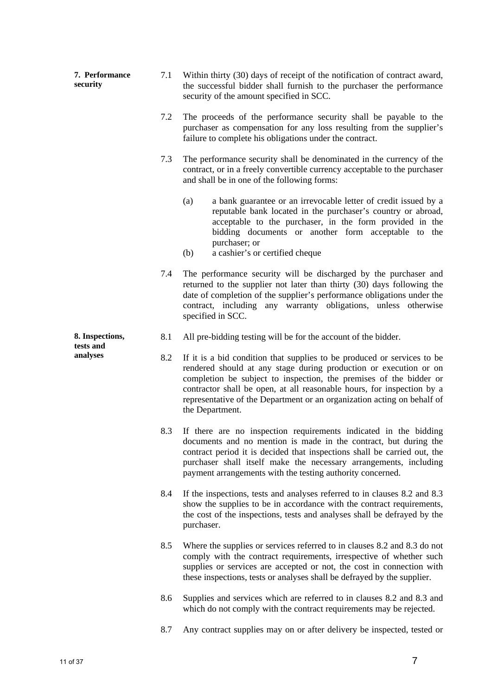|  | 7. Performance<br>security               | 7.1 | Within thirty (30) days of receipt of the notification of contract award,<br>the successful bidder shall furnish to the purchaser the performance<br>security of the amount specified in SCC.                                                                                                                                                                                              |
|--|------------------------------------------|-----|--------------------------------------------------------------------------------------------------------------------------------------------------------------------------------------------------------------------------------------------------------------------------------------------------------------------------------------------------------------------------------------------|
|  |                                          | 7.2 | The proceeds of the performance security shall be payable to the<br>purchaser as compensation for any loss resulting from the supplier's<br>failure to complete his obligations under the contract.                                                                                                                                                                                        |
|  |                                          | 7.3 | The performance security shall be denominated in the currency of the<br>contract, or in a freely convertible currency acceptable to the purchaser<br>and shall be in one of the following forms:                                                                                                                                                                                           |
|  |                                          |     | (a)<br>a bank guarantee or an irrevocable letter of credit issued by a<br>reputable bank located in the purchaser's country or abroad,<br>acceptable to the purchaser, in the form provided in the<br>bidding documents or another form acceptable to the<br>purchaser; or<br>a cashier's or certified cheque<br>(b)                                                                       |
|  |                                          | 7.4 | The performance security will be discharged by the purchaser and<br>returned to the supplier not later than thirty (30) days following the<br>date of completion of the supplier's performance obligations under the<br>contract, including any warranty obligations, unless otherwise<br>specified in SCC.                                                                                |
|  | 8. Inspections,<br>tests and<br>analyses | 8.1 | All pre-bidding testing will be for the account of the bidder.                                                                                                                                                                                                                                                                                                                             |
|  |                                          | 8.2 | If it is a bid condition that supplies to be produced or services to be<br>rendered should at any stage during production or execution or on<br>completion be subject to inspection, the premises of the bidder or<br>contractor shall be open, at all reasonable hours, for inspection by a<br>representative of the Department or an organization acting on behalf of<br>the Department. |
|  |                                          | 8.3 | If there are no inspection requirements indicated in the bidding<br>documents and no mention is made in the contract, but during the<br>contract period it is decided that inspections shall be carried out, the<br>purchaser shall itself make the necessary arrangements, including<br>payment arrangements with the testing authority concerned.                                        |
|  |                                          | 8.4 | If the inspections, tests and analyses referred to in clauses 8.2 and 8.3<br>show the supplies to be in accordance with the contract requirements,<br>the cost of the inspections, tests and analyses shall be defrayed by the<br>purchaser.                                                                                                                                               |
|  |                                          | 8.5 | Where the supplies or services referred to in clauses 8.2 and 8.3 do not<br>comply with the contract requirements, irrespective of whether such<br>supplies or services are accepted or not, the cost in connection with<br>these inspections, tests or analyses shall be defrayed by the supplier.                                                                                        |
|  |                                          | 8.6 | Supplies and services which are referred to in clauses 8.2 and 8.3 and<br>which do not comply with the contract requirements may be rejected.                                                                                                                                                                                                                                              |
|  |                                          | 8.7 | Any contract supplies may on or after delivery be inspected, tested or                                                                                                                                                                                                                                                                                                                     |
|  |                                          |     |                                                                                                                                                                                                                                                                                                                                                                                            |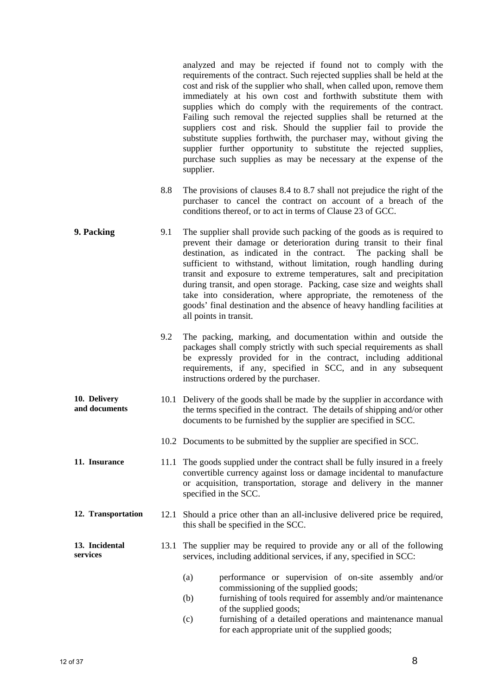analyzed and may be rejected if found not to comply with the requirements of the contract. Such rejected supplies shall be held at the cost and risk of the supplier who shall, when called upon, remove them immediately at his own cost and forthwith substitute them with supplies which do comply with the requirements of the contract. Failing such removal the rejected supplies shall be returned at the suppliers cost and risk. Should the supplier fail to provide the substitute supplies forthwith, the purchaser may, without giving the supplier further opportunity to substitute the rejected supplies, purchase such supplies as may be necessary at the expense of the supplier.

- 8.8 The provisions of clauses 8.4 to 8.7 shall not prejudice the right of the purchaser to cancel the contract on account of a breach of the conditions thereof, or to act in terms of Clause 23 of GCC.
- **9. Packing** 9.1 The supplier shall provide such packing of the goods as is required to prevent their damage or deterioration during transit to their final destination, as indicated in the contract. The packing shall be sufficient to withstand, without limitation, rough handling during transit and exposure to extreme temperatures, salt and precipitation during transit, and open storage. Packing, case size and weights shall take into consideration, where appropriate, the remoteness of the goods' final destination and the absence of heavy handling facilities at all points in transit.
	- 9.2 The packing, marking, and documentation within and outside the packages shall comply strictly with such special requirements as shall be expressly provided for in the contract, including additional requirements, if any, specified in SCC, and in any subsequent instructions ordered by the purchaser.
- **10. Delivery and documents**  10.1 Delivery of the goods shall be made by the supplier in accordance with the terms specified in the contract. The details of shipping and/or other documents to be furnished by the supplier are specified in SCC.
	- 10.2 Documents to be submitted by the supplier are specified in SCC.
- **11. Insurance** 11.1 The goods supplied under the contract shall be fully insured in a freely convertible currency against loss or damage incidental to manufacture or acquisition, transportation, storage and delivery in the manner specified in the SCC.
- **12. Transportation** 12.1 Should a price other than an all-inclusive delivered price be required, this shall be specified in the SCC.

#### **13. Incidental services**  13.1 The supplier may be required to provide any or all of the following services, including additional services, if any, specified in SCC:

- (a) performance or supervision of on-site assembly and/or commissioning of the supplied goods;
- (b) furnishing of tools required for assembly and/or maintenance of the supplied goods;
- (c) furnishing of a detailed operations and maintenance manual for each appropriate unit of the supplied goods;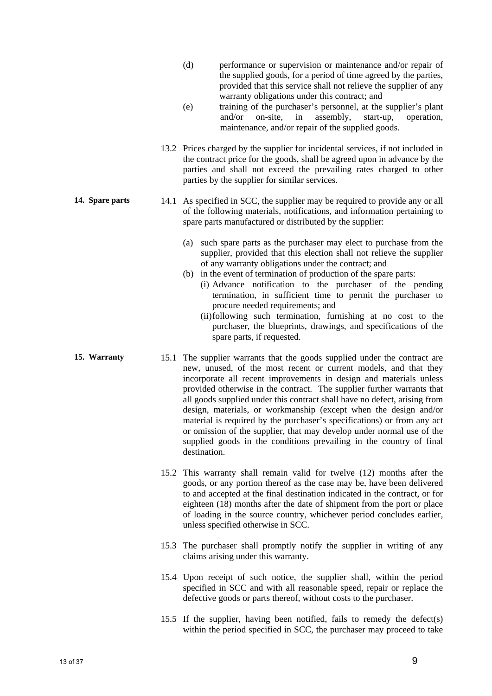- (d) performance or supervision or maintenance and/or repair of the supplied goods, for a period of time agreed by the parties, provided that this service shall not relieve the supplier of any warranty obligations under this contract; and
- (e) training of the purchaser's personnel, at the supplier's plant and/or on-site, in assembly, start-up, operation, maintenance, and/or repair of the supplied goods.
- 13.2 Prices charged by the supplier for incidental services, if not included in the contract price for the goods, shall be agreed upon in advance by the parties and shall not exceed the prevailing rates charged to other parties by the supplier for similar services.
- **14. Spare parts** 14.1 As specified in SCC, the supplier may be required to provide any or all of the following materials, notifications, and information pertaining to spare parts manufactured or distributed by the supplier:
	- (a) such spare parts as the purchaser may elect to purchase from the supplier, provided that this election shall not relieve the supplier of any warranty obligations under the contract; and
	- (b) in the event of termination of production of the spare parts: (i) Advance notification to the purchaser of the pending termination, in sufficient time to permit the purchaser to procure needed requirements; and
		- (ii) following such termination, furnishing at no cost to the purchaser, the blueprints, drawings, and specifications of the spare parts, if requested.
- **15. Warranty** 15.1 The supplier warrants that the goods supplied under the contract are new, unused, of the most recent or current models, and that they incorporate all recent improvements in design and materials unless provided otherwise in the contract. The supplier further warrants that all goods supplied under this contract shall have no defect, arising from design, materials, or workmanship (except when the design and/or material is required by the purchaser's specifications) or from any act or omission of the supplier, that may develop under normal use of the supplied goods in the conditions prevailing in the country of final destination.
	- 15.2 This warranty shall remain valid for twelve (12) months after the goods, or any portion thereof as the case may be, have been delivered to and accepted at the final destination indicated in the contract, or for eighteen (18) months after the date of shipment from the port or place of loading in the source country, whichever period concludes earlier, unless specified otherwise in SCC.
	- 15.3 The purchaser shall promptly notify the supplier in writing of any claims arising under this warranty.
	- 15.4 Upon receipt of such notice, the supplier shall, within the period specified in SCC and with all reasonable speed, repair or replace the defective goods or parts thereof, without costs to the purchaser.
	- 15.5 If the supplier, having been notified, fails to remedy the defect(s) within the period specified in SCC, the purchaser may proceed to take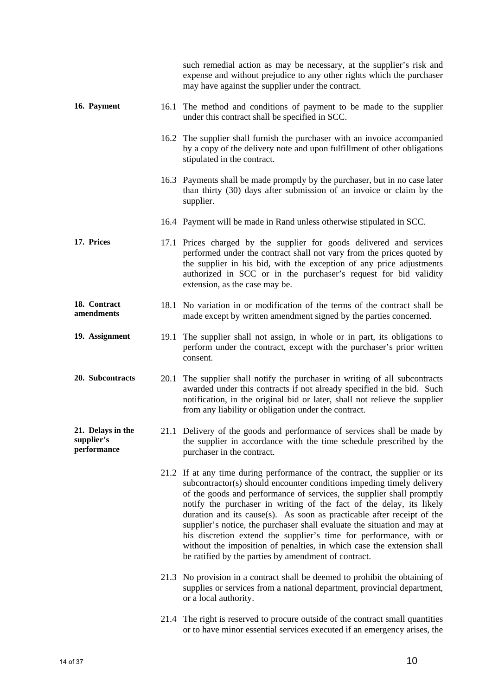|                                                |      | such remedial action as may be necessary, at the supplier's risk and<br>expense and without prejudice to any other rights which the purchaser<br>may have against the supplier under the contract.                                                                                                                                                                                                                                                                                                                                                                                                                                                                  |
|------------------------------------------------|------|---------------------------------------------------------------------------------------------------------------------------------------------------------------------------------------------------------------------------------------------------------------------------------------------------------------------------------------------------------------------------------------------------------------------------------------------------------------------------------------------------------------------------------------------------------------------------------------------------------------------------------------------------------------------|
| 16. Payment                                    | 16.1 | The method and conditions of payment to be made to the supplier<br>under this contract shall be specified in SCC.                                                                                                                                                                                                                                                                                                                                                                                                                                                                                                                                                   |
|                                                |      | 16.2 The supplier shall furnish the purchaser with an invoice accompanied<br>by a copy of the delivery note and upon fulfillment of other obligations<br>stipulated in the contract.                                                                                                                                                                                                                                                                                                                                                                                                                                                                                |
|                                                |      | 16.3 Payments shall be made promptly by the purchaser, but in no case later<br>than thirty (30) days after submission of an invoice or claim by the<br>supplier.                                                                                                                                                                                                                                                                                                                                                                                                                                                                                                    |
|                                                |      | 16.4 Payment will be made in Rand unless otherwise stipulated in SCC.                                                                                                                                                                                                                                                                                                                                                                                                                                                                                                                                                                                               |
| 17. Prices                                     |      | 17.1 Prices charged by the supplier for goods delivered and services<br>performed under the contract shall not vary from the prices quoted by<br>the supplier in his bid, with the exception of any price adjustments<br>authorized in SCC or in the purchaser's request for bid validity<br>extension, as the case may be.                                                                                                                                                                                                                                                                                                                                         |
| 18. Contract<br>amendments                     |      | 18.1 No variation in or modification of the terms of the contract shall be<br>made except by written amendment signed by the parties concerned.                                                                                                                                                                                                                                                                                                                                                                                                                                                                                                                     |
| 19. Assignment                                 | 19.1 | The supplier shall not assign, in whole or in part, its obligations to<br>perform under the contract, except with the purchaser's prior written<br>consent.                                                                                                                                                                                                                                                                                                                                                                                                                                                                                                         |
| 20. Subcontracts                               | 20.1 | The supplier shall notify the purchaser in writing of all subcontracts<br>awarded under this contracts if not already specified in the bid. Such<br>notification, in the original bid or later, shall not relieve the supplier<br>from any liability or obligation under the contract.                                                                                                                                                                                                                                                                                                                                                                              |
| 21. Delays in the<br>supplier's<br>performance |      | 21.1 Delivery of the goods and performance of services shall be made by<br>the supplier in accordance with the time schedule prescribed by the<br>purchaser in the contract.                                                                                                                                                                                                                                                                                                                                                                                                                                                                                        |
|                                                |      | 21.2 If at any time during performance of the contract, the supplier or its<br>subcontractor(s) should encounter conditions impeding timely delivery<br>of the goods and performance of services, the supplier shall promptly<br>notify the purchaser in writing of the fact of the delay, its likely<br>duration and its cause(s). As soon as practicable after receipt of the<br>supplier's notice, the purchaser shall evaluate the situation and may at<br>his discretion extend the supplier's time for performance, with or<br>without the imposition of penalties, in which case the extension shall<br>be ratified by the parties by amendment of contract. |
|                                                |      | 21.3 No provision in a contract shall be deemed to prohibit the obtaining of<br>supplies or services from a national department, provincial department,<br>or a local authority.                                                                                                                                                                                                                                                                                                                                                                                                                                                                                    |
|                                                |      | 21.4 The right is reserved to procure outside of the contract small quantities<br>or to have minor essential services executed if an emergency arises, the                                                                                                                                                                                                                                                                                                                                                                                                                                                                                                          |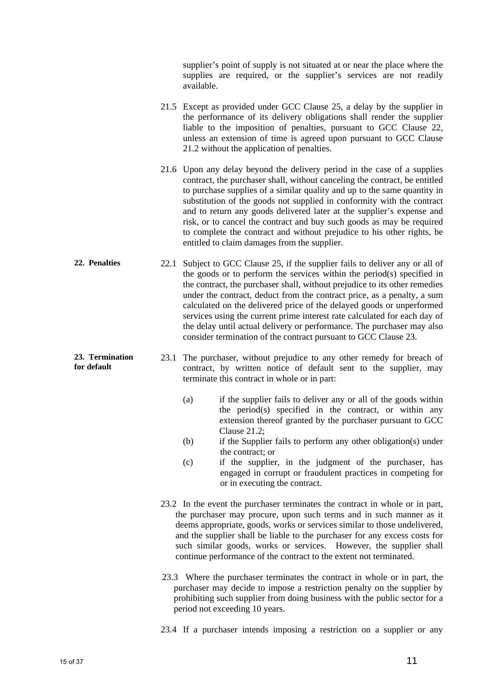supplier's point of supply is not situated at or near the place where the supplies are required, or the supplier's services are not readily available.

- 21.5 Except as provided under GCC Clause 25, a delay by the supplier in the performance of its delivery obligations shall render the supplier liable to the imposition of penalties, pursuant to GCC Clause 22, unless an extension of time is agreed upon pursuant to GCC Clause 21.2 without the application of penalties.
- 21.6 Upon any delay beyond the delivery period in the case of a supplies contract, the purchaser shall, without canceling the contract, be entitled to purchase supplies of a similar quality and up to the same quantity in substitution of the goods not supplied in conformity with the contract and to return any goods delivered later at the supplier's expense and risk, or to cancel the contract and buy such goods as may be required to complete the contract and without prejudice to his other rights, be entitled to claim damages from the supplier.
- **22. Penalties** 22.1 Subject to GCC Clause 25, if the supplier fails to deliver any or all of the goods or to perform the services within the period(s) specified in the contract, the purchaser shall, without prejudice to its other remedies under the contract, deduct from the contract price, as a penalty, a sum calculated on the delivered price of the delayed goods or unperformed services using the current prime interest rate calculated for each day of the delay until actual delivery or performance. The purchaser may also consider termination of the contract pursuant to GCC Clause 23.
	- 23.1 The purchaser, without prejudice to any other remedy for breach of contract, by written notice of default sent to the supplier, may terminate this contract in whole or in part:
		- (a) if the supplier fails to deliver any or all of the goods within the period(s) specified in the contract, or within any extension thereof granted by the purchaser pursuant to GCC Clause 21.2;
		- (b) if the Supplier fails to perform any other obligation(s) under the contract; or
		- (c) if the supplier, in the judgment of the purchaser, has engaged in corrupt or fraudulent practices in competing for or in executing the contract.
		- 23.2 In the event the purchaser terminates the contract in whole or in part, the purchaser may procure, upon such terms and in such manner as it deems appropriate, goods, works or services similar to those undelivered, and the supplier shall be liable to the purchaser for any excess costs for such similar goods, works or services. However, the supplier shall continue performance of the contract to the extent not terminated.
		- 23.3 Where the purchaser terminates the contract in whole or in part, the purchaser may decide to impose a restriction penalty on the supplier by prohibiting such supplier from doing business with the public sector for a period not exceeding 10 years.

23.4 If a purchaser intends imposing a restriction on a supplier or any

**23. Termination for default**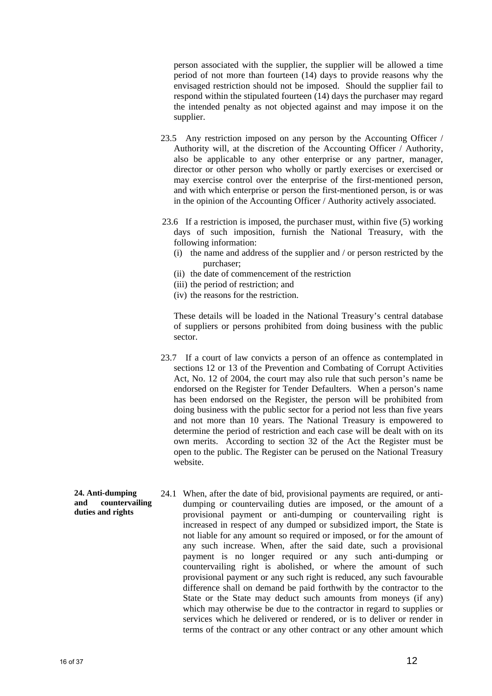person associated with the supplier, the supplier will be allowed a time period of not more than fourteen (14) days to provide reasons why the envisaged restriction should not be imposed. Should the supplier fail to respond within the stipulated fourteen (14) days the purchaser may regard the intended penalty as not objected against and may impose it on the supplier.

- 23.5 Any restriction imposed on any person by the Accounting Officer / Authority will, at the discretion of the Accounting Officer / Authority, also be applicable to any other enterprise or any partner, manager, director or other person who wholly or partly exercises or exercised or may exercise control over the enterprise of the first-mentioned person, and with which enterprise or person the first-mentioned person, is or was in the opinion of the Accounting Officer / Authority actively associated.
- 23.6 If a restriction is imposed, the purchaser must, within five (5) working days of such imposition, furnish the National Treasury, with the following information:
	- (i) the name and address of the supplier and / or person restricted by the purchaser;
	- (ii) the date of commencement of the restriction
	- (iii) the period of restriction; and
	- (iv) the reasons for the restriction.

These details will be loaded in the National Treasury's central database of suppliers or persons prohibited from doing business with the public sector.

- 23.7 If a court of law convicts a person of an offence as contemplated in sections 12 or 13 of the Prevention and Combating of Corrupt Activities Act, No. 12 of 2004, the court may also rule that such person's name be endorsed on the Register for Tender Defaulters. When a person's name has been endorsed on the Register, the person will be prohibited from doing business with the public sector for a period not less than five years and not more than 10 years. The National Treasury is empowered to determine the period of restriction and each case will be dealt with on its own merits. According to section 32 of the Act the Register must be open to the public. The Register can be perused on the National Treasury website.
- **24. Anti-dumping and countervailing duties and rights**  24.1 When, after the date of bid, provisional payments are required, or antidumping or countervailing duties are imposed, or the amount of a provisional payment or anti-dumping or countervailing right is increased in respect of any dumped or subsidized import, the State is not liable for any amount so required or imposed, or for the amount of any such increase. When, after the said date, such a provisional payment is no longer required or any such anti-dumping or countervailing right is abolished, or where the amount of such provisional payment or any such right is reduced, any such favourable difference shall on demand be paid forthwith by the contractor to the State or the State may deduct such amounts from moneys (if any) which may otherwise be due to the contractor in regard to supplies or services which he delivered or rendered, or is to deliver or render in terms of the contract or any other contract or any other amount which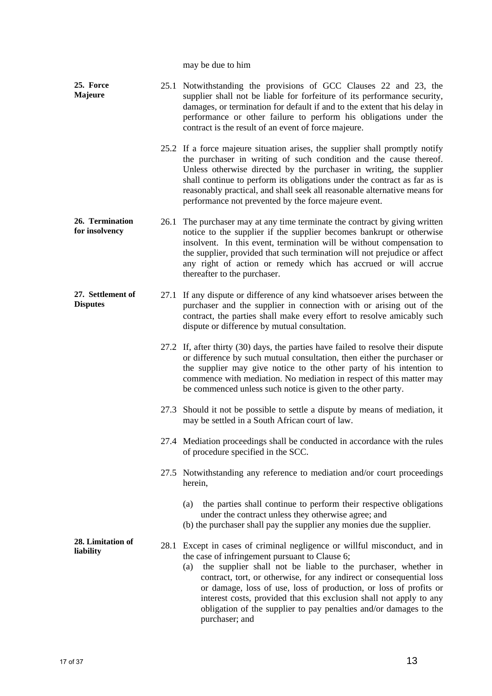may be due to him

| 25. Force<br><b>Majeure</b>          |      | 25.1 Notwithstanding the provisions of GCC Clauses 22 and 23, the<br>supplier shall not be liable for forfeiture of its performance security,<br>damages, or termination for default if and to the extent that his delay in<br>performance or other failure to perform his obligations under the<br>contract is the result of an event of force majeure.                                                                                                                                                  |
|--------------------------------------|------|-----------------------------------------------------------------------------------------------------------------------------------------------------------------------------------------------------------------------------------------------------------------------------------------------------------------------------------------------------------------------------------------------------------------------------------------------------------------------------------------------------------|
|                                      |      | 25.2 If a force majeure situation arises, the supplier shall promptly notify<br>the purchaser in writing of such condition and the cause thereof.<br>Unless otherwise directed by the purchaser in writing, the supplier<br>shall continue to perform its obligations under the contract as far as is<br>reasonably practical, and shall seek all reasonable alternative means for<br>performance not prevented by the force majeure event.                                                               |
| 26. Termination<br>for insolvency    | 26.1 | The purchaser may at any time terminate the contract by giving written<br>notice to the supplier if the supplier becomes bankrupt or otherwise<br>insolvent. In this event, termination will be without compensation to<br>the supplier, provided that such termination will not prejudice or affect<br>any right of action or remedy which has accrued or will accrue<br>thereafter to the purchaser.                                                                                                    |
| 27. Settlement of<br><b>Disputes</b> |      | 27.1 If any dispute or difference of any kind whatsoever arises between the<br>purchaser and the supplier in connection with or arising out of the<br>contract, the parties shall make every effort to resolve amicably such<br>dispute or difference by mutual consultation.                                                                                                                                                                                                                             |
|                                      |      | 27.2 If, after thirty (30) days, the parties have failed to resolve their dispute<br>or difference by such mutual consultation, then either the purchaser or<br>the supplier may give notice to the other party of his intention to<br>commence with mediation. No mediation in respect of this matter may<br>be commenced unless such notice is given to the other party.                                                                                                                                |
|                                      |      | 27.3 Should it not be possible to settle a dispute by means of mediation, it<br>may be settled in a South African court of law.                                                                                                                                                                                                                                                                                                                                                                           |
|                                      |      | 27.4 Mediation proceedings shall be conducted in accordance with the rules<br>of procedure specified in the SCC.                                                                                                                                                                                                                                                                                                                                                                                          |
|                                      |      | 27.5 Notwithstanding any reference to mediation and/or court proceedings<br>herein,                                                                                                                                                                                                                                                                                                                                                                                                                       |
|                                      |      | the parties shall continue to perform their respective obligations<br>(a)<br>under the contract unless they otherwise agree; and<br>(b) the purchaser shall pay the supplier any monies due the supplier.                                                                                                                                                                                                                                                                                                 |
| 28. Limitation of<br>liability       | 28.1 | Except in cases of criminal negligence or willful misconduct, and in<br>the case of infringement pursuant to Clause 6;<br>the supplier shall not be liable to the purchaser, whether in<br>(a)<br>contract, tort, or otherwise, for any indirect or consequential loss<br>or damage, loss of use, loss of production, or loss of profits or<br>interest costs, provided that this exclusion shall not apply to any<br>obligation of the supplier to pay penalties and/or damages to the<br>purchaser; and |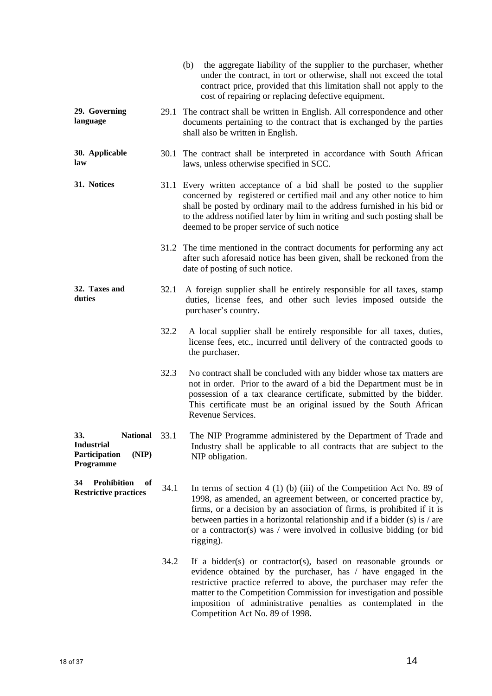|                                                                                  |      | (b) the aggregate liability of the supplier to the purchaser, whether<br>under the contract, in tort or otherwise, shall not exceed the total<br>contract price, provided that this limitation shall not apply to the<br>cost of repairing or replacing defective equipment.                                                                                                             |
|----------------------------------------------------------------------------------|------|------------------------------------------------------------------------------------------------------------------------------------------------------------------------------------------------------------------------------------------------------------------------------------------------------------------------------------------------------------------------------------------|
| 29. Governing<br>language                                                        |      | 29.1 The contract shall be written in English. All correspondence and other<br>documents pertaining to the contract that is exchanged by the parties<br>shall also be written in English.                                                                                                                                                                                                |
| 30. Applicable<br>law                                                            |      | 30.1 The contract shall be interpreted in accordance with South African<br>laws, unless otherwise specified in SCC.                                                                                                                                                                                                                                                                      |
| 31. Notices                                                                      |      | 31.1 Every written acceptance of a bid shall be posted to the supplier<br>concerned by registered or certified mail and any other notice to him<br>shall be posted by ordinary mail to the address furnished in his bid or<br>to the address notified later by him in writing and such posting shall be<br>deemed to be proper service of such notice                                    |
|                                                                                  |      | 31.2 The time mentioned in the contract documents for performing any act<br>after such aforesaid notice has been given, shall be reckoned from the<br>date of posting of such notice.                                                                                                                                                                                                    |
| 32. Taxes and<br>duties                                                          | 32.1 | A foreign supplier shall be entirely responsible for all taxes, stamp<br>duties, license fees, and other such levies imposed outside the<br>purchaser's country.                                                                                                                                                                                                                         |
|                                                                                  | 32.2 | A local supplier shall be entirely responsible for all taxes, duties,<br>license fees, etc., incurred until delivery of the contracted goods to<br>the purchaser.                                                                                                                                                                                                                        |
|                                                                                  | 32.3 | No contract shall be concluded with any bidder whose tax matters are<br>not in order. Prior to the award of a bid the Department must be in<br>possession of a tax clearance certificate, submitted by the bidder.<br>This certificate must be an original issued by the South African<br>Revenue Services.                                                                              |
| 33.<br>National 33.1<br><b>Industrial</b><br>Participation<br>(NIP)<br>Programme |      | The NIP Programme administered by the Department of Trade and<br>Industry shall be applicable to all contracts that are subject to the<br>NIP obligation.                                                                                                                                                                                                                                |
| <b>Prohibition</b><br>34<br>of<br><b>Restrictive practices</b>                   | 34.1 | In terms of section $4(1)(b)(iii)$ of the Competition Act No. 89 of<br>1998, as amended, an agreement between, or concerted practice by,<br>firms, or a decision by an association of firms, is prohibited if it is<br>between parties in a horizontal relationship and if a bidder $(s)$ is / are<br>or a contractor(s) was $/$ were involved in collusive bidding (or bid<br>rigging). |
|                                                                                  | 34.2 | If a bidder(s) or contractor(s), based on reasonable grounds or<br>evidence obtained by the purchaser, has / have engaged in the<br>restrictive practice referred to above, the purchaser may refer the<br>matter to the Competition Commission for investigation and possible<br>imposition of administrative penalties as contemplated in the<br>Competition Act No. 89 of 1998.       |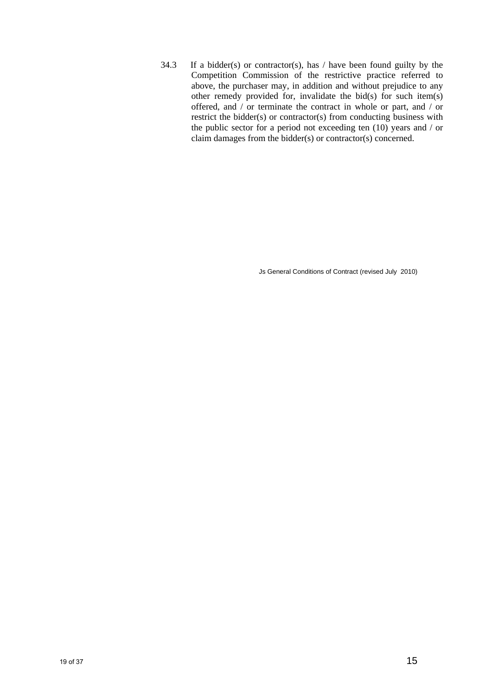34.3 If a bidder(s) or contractor(s), has  $/$  have been found guilty by the Competition Commission of the restrictive practice referred to above, the purchaser may, in addition and without prejudice to any other remedy provided for, invalidate the bid(s) for such item(s) offered, and / or terminate the contract in whole or part, and / or restrict the bidder(s) or contractor(s) from conducting business with the public sector for a period not exceeding ten (10) years and / or claim damages from the bidder(s) or contractor(s) concerned.

Js General Conditions of Contract (revised July 2010)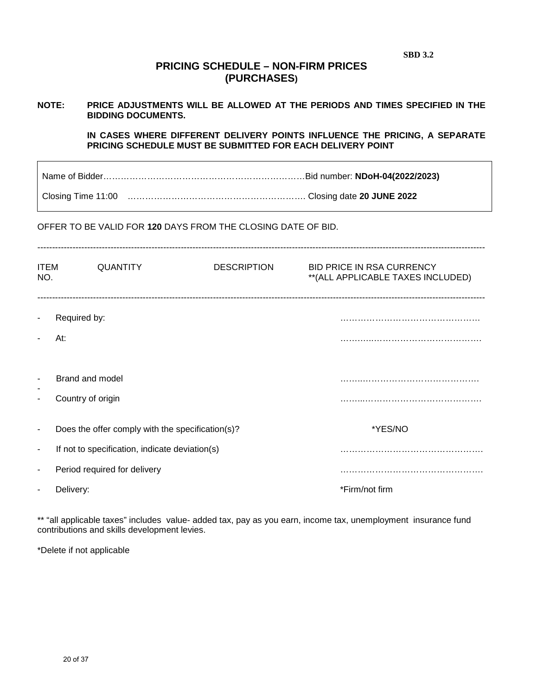| <b>SBD 3.2</b> |
|----------------|
|----------------|

## **PRICING SCHEDULE – NON-FIRM PRICES (PURCHASES)**

## **NOTE: PRICE ADJUSTMENTS WILL BE ALLOWED AT THE PERIODS AND TIMES SPECIFIED IN THE BIDDING DOCUMENTS.**

**IN CASES WHERE DIFFERENT DELIVERY POINTS INFLUENCE THE PRICING, A SEPARATE PRICING SCHEDULE MUST BE SUBMITTED FOR EACH DELIVERY POINT** 

Name of Bidder……………………………………………………………Bid number: **NDoH-04(2022/2023)**

Closing Time 11:00 ……………………………………………………. Closing date **20 JUNE 2022**

#### OFFER TO BE VALID FOR **120** DAYS FROM THE CLOSING DATE OF BID.

| <b>ITEM</b><br>NO.            | <b>QUANTITY</b>                                  | <b>DESCRIPTION</b> | <b>BID PRICE IN RSA CURRENCY</b><br>** (ALL APPLICABLE TAXES INCLUDED) |
|-------------------------------|--------------------------------------------------|--------------------|------------------------------------------------------------------------|
| $\blacksquare$                | Required by:                                     |                    |                                                                        |
|                               | At:                                              |                    |                                                                        |
| $\overline{\phantom{a}}$<br>٠ | Brand and model<br>Country of origin             |                    |                                                                        |
| $\overline{\phantom{a}}$      | Does the offer comply with the specification(s)? |                    | *YES/NO                                                                |
| $\overline{\phantom{a}}$      | If not to specification, indicate deviation(s)   |                    |                                                                        |
| $\blacksquare$                | Period required for delivery                     |                    |                                                                        |
|                               | Delivery:                                        |                    | *Firm/not firm                                                         |

\*\* "all applicable taxes" includes value- added tax, pay as you earn, income tax, unemployment insurance fund contributions and skills development levies.

\*Delete if not applicable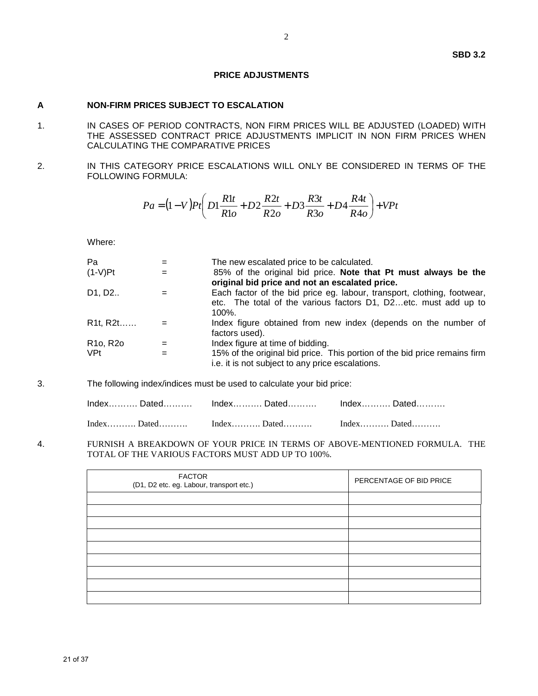#### **PRICE ADJUSTMENTS**

#### **A NON-FIRM PRICES SUBJECT TO ESCALATION**

- 1. IN CASES OF PERIOD CONTRACTS, NON FIRM PRICES WILL BE ADJUSTED (LOADED) WITH THE ASSESSED CONTRACT PRICE ADJUSTMENTS IMPLICIT IN NON FIRM PRICES WHEN CALCULATING THE COMPARATIVE PRICES
- 2. IN THIS CATEGORY PRICE ESCALATIONS WILL ONLY BE CONSIDERED IN TERMS OF THE FOLLOWING FORMULA:

$$
Pa = (1 - V)Pt \left(D1 \frac{R1t}{R1o} + D2 \frac{R2t}{R2o} + D3 \frac{R3t}{R3o} + D4 \frac{R4t}{R4o}\right) + VPt
$$

Where:

| Pa                                       |     | The new escalated price to be calculated.                                                                                                                         |
|------------------------------------------|-----|-------------------------------------------------------------------------------------------------------------------------------------------------------------------|
| $(1-V)$ Pt                               | $=$ | 85% of the original bid price. Note that Pt must always be the<br>original bid price and not an escalated price.                                                  |
| D1, D2                                   |     | Each factor of the bid price eg. labour, transport, clothing, footwear,<br>etc. The total of the various factors D1, D2etc. must add up to<br>$100\%$ .           |
| R1t, R2t                                 |     | Index figure obtained from new index (depends on the number of<br>factors used).                                                                                  |
| R <sub>10</sub> , R <sub>20</sub><br>VPt | $=$ | Index figure at time of bidding.<br>15% of the original bid price. This portion of the bid price remains firm<br>i.e. it is not subject to any price escalations. |
|                                          |     |                                                                                                                                                                   |

3. The following index/indices must be used to calculate your bid price:

| IndexDatedIndexDatedDated |  |
|---------------------------|--|
|                           |  |

4. FURNISH A BREAKDOWN OF YOUR PRICE IN TERMS OF ABOVE-MENTIONED FORMULA. THE TOTAL OF THE VARIOUS FACTORS MUST ADD UP TO 100%.

| <b>FACTOR</b><br>(D1, D2 etc. eg. Labour, transport etc.) | PERCENTAGE OF BID PRICE |
|-----------------------------------------------------------|-------------------------|
|                                                           |                         |
|                                                           |                         |
|                                                           |                         |
|                                                           |                         |
|                                                           |                         |
|                                                           |                         |
|                                                           |                         |
|                                                           |                         |
|                                                           |                         |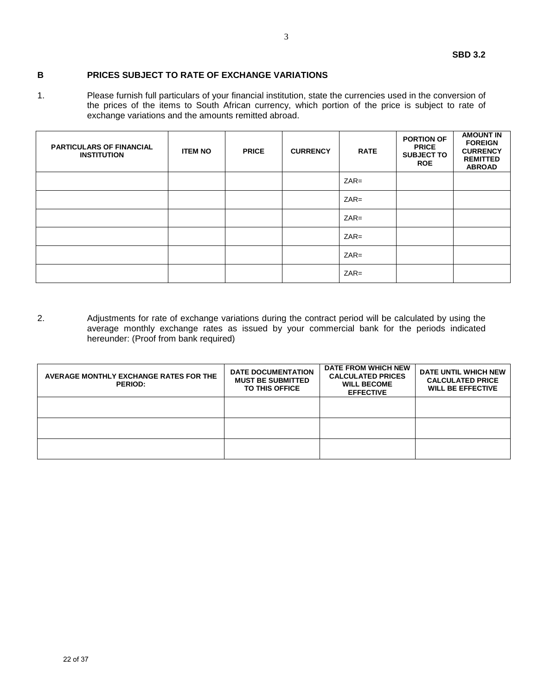#### **B PRICES SUBJECT TO RATE OF EXCHANGE VARIATIONS**

1. Please furnish full particulars of your financial institution, state the currencies used in the conversion of the prices of the items to South African currency, which portion of the price is subject to rate of exchange variations and the amounts remitted abroad.

| <b>PARTICULARS OF FINANCIAL</b><br><b>INSTITUTION</b> | <b>ITEM NO</b> | <b>PRICE</b> | <b>CURRENCY</b> | <b>RATE</b> | <b>PORTION OF</b><br><b>PRICE</b><br><b>SUBJECT TO</b><br><b>ROE</b> | <b>AMOUNT IN</b><br><b>FOREIGN</b><br><b>CURRENCY</b><br><b>REMITTED</b><br><b>ABROAD</b> |
|-------------------------------------------------------|----------------|--------------|-----------------|-------------|----------------------------------------------------------------------|-------------------------------------------------------------------------------------------|
|                                                       |                |              |                 | $ZAR =$     |                                                                      |                                                                                           |
|                                                       |                |              |                 | $ZAR =$     |                                                                      |                                                                                           |
|                                                       |                |              |                 | $ZAR =$     |                                                                      |                                                                                           |
|                                                       |                |              |                 | $ZAR =$     |                                                                      |                                                                                           |
|                                                       |                |              |                 | $ZAR =$     |                                                                      |                                                                                           |
|                                                       |                |              |                 | $ZAR =$     |                                                                      |                                                                                           |

2. Adjustments for rate of exchange variations during the contract period will be calculated by using the average monthly exchange rates as issued by your commercial bank for the periods indicated hereunder: (Proof from bank required)

| AVERAGE MONTHLY EXCHANGE RATES FOR THE<br><b>PERIOD:</b> | <b>DATE DOCUMENTATION</b><br><b>MUST BE SUBMITTED</b><br><b>TO THIS OFFICE</b> | <b>DATE FROM WHICH NEW</b><br><b>CALCULATED PRICES</b><br><b>WILL BECOME</b><br><b>EFFECTIVE</b> | DATE UNTIL WHICH NEW<br><b>CALCULATED PRICE</b><br><b>WILL BE EFFECTIVE</b> |
|----------------------------------------------------------|--------------------------------------------------------------------------------|--------------------------------------------------------------------------------------------------|-----------------------------------------------------------------------------|
|                                                          |                                                                                |                                                                                                  |                                                                             |
|                                                          |                                                                                |                                                                                                  |                                                                             |
|                                                          |                                                                                |                                                                                                  |                                                                             |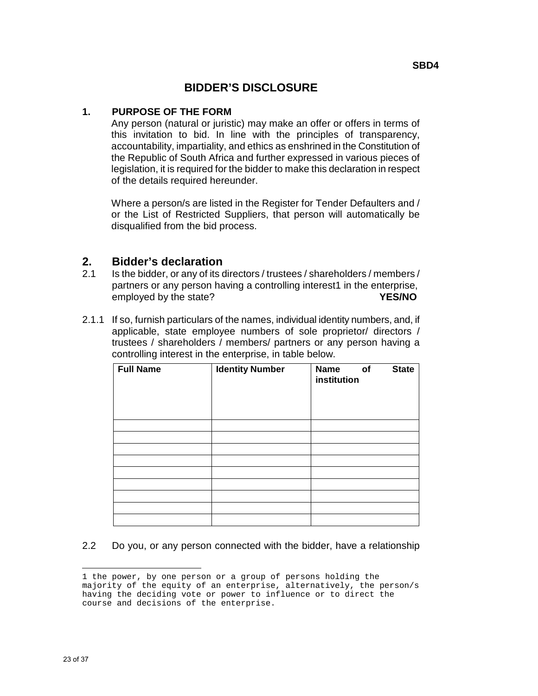## **BIDDER'S DISCLOSURE**

## **1. PURPOSE OF THE FORM**

Any person (natural or juristic) may make an offer or offers in terms of this invitation to bid. In line with the principles of transparency, accountability, impartiality, and ethics as enshrined in the Constitution of the Republic of South Africa and further expressed in various pieces of legislation, it is required for the bidder to make this declaration in respect of the details required hereunder.

Where a person/s are listed in the Register for Tender Defaulters and / or the List of Restricted Suppliers, that person will automatically be disqualified from the bid process.

## **2. Bidder's declaration**

- 2.1 Is the bidder, or any of its directors / trustees / shareholders / members / partners or any person having a controlling interest1 in the enterprise, employed by the state? **YES/NO**
- 2.1.1 If so, furnish particulars of the names, individual identity numbers, and, if applicable, state employee numbers of sole proprietor/ directors / trustees / shareholders / members/ partners or any person having a controlling interest in the enterprise, in table below.

| <b>Full Name</b> | <b>Identity Number</b> | <b>Name</b><br>institution | of | <b>State</b> |
|------------------|------------------------|----------------------------|----|--------------|
|                  |                        |                            |    |              |
|                  |                        |                            |    |              |
|                  |                        |                            |    |              |
|                  |                        |                            |    |              |
|                  |                        |                            |    |              |
|                  |                        |                            |    |              |
|                  |                        |                            |    |              |
|                  |                        |                            |    |              |
|                  |                        |                            |    |              |

## 2.2 Do you, or any person connected with the bidder, have a relationship

<sup>÷</sup> 1 the power, by one person or a group of persons holding the majority of the equity of an enterprise, alternatively, the person/s having the deciding vote or power to influence or to direct the course and decisions of the enterprise.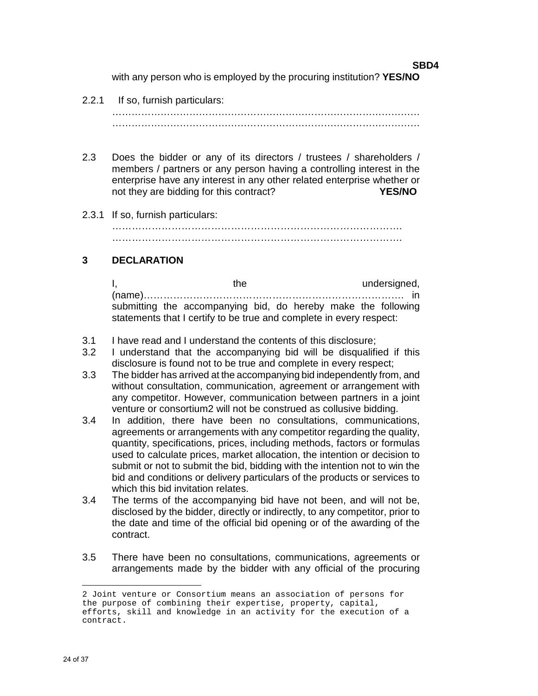**SBD4**  with any person who is employed by the procuring institution? **YES/NO**

#### 2.2.1 If so, furnish particulars:

…………………………………………………………………………………… ……………………………………………………………………………………

- 2.3 Does the bidder or any of its directors / trustees / shareholders / members / partners or any person having a controlling interest in the enterprise have any interest in any other related enterprise whether or not they are bidding for this contract? **YES/NO**
- 2.3.1 If so, furnish particulars:

……………………………………………………………………………. …………………………………………………………………………….

## **3 DECLARATION**

I, the undersigned, the undersigned, (name)……………………………………………………………………. in submitting the accompanying bid, do hereby make the following statements that I certify to be true and complete in every respect:

- 3.1 I have read and I understand the contents of this disclosure;
- 3.2 I understand that the accompanying bid will be disqualified if this disclosure is found not to be true and complete in every respect;
- 3.3 The bidder has arrived at the accompanying bid independently from, and without consultation, communication, agreement or arrangement with any competitor. However, communication between partners in a joint venture or consortium2 will not be construed as collusive bidding.
- 3.4In addition, there have been no consultations, communications, agreements or arrangements with any competitor regarding the quality, quantity, specifications, prices, including methods, factors or formulas used to calculate prices, market allocation, the intention or decision to submit or not to submit the bid, bidding with the intention not to win the bid and conditions or delivery particulars of the products or services to which this bid invitation relates.
- 3.4 The terms of the accompanying bid have not been, and will not be, disclosed by the bidder, directly or indirectly, to any competitor, prior to the date and time of the official bid opening or of the awarding of the contract.
- 3.5 There have been no consultations, communications, agreements or arrangements made by the bidder with any official of the procuring

÷

<sup>2</sup> Joint venture or Consortium means an association of persons for the purpose of combining their expertise, property, capital, efforts, skill and knowledge in an activity for the execution of a contract.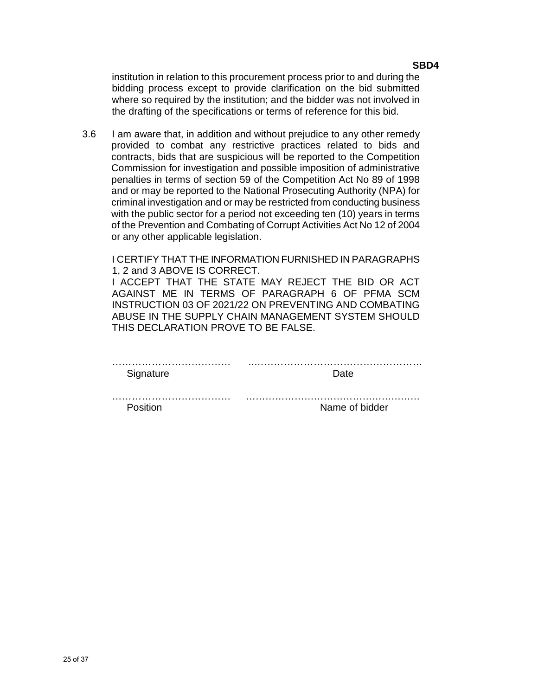institution in relation to this procurement process prior to and during the bidding process except to provide clarification on the bid submitted where so required by the institution; and the bidder was not involved in the drafting of the specifications or terms of reference for this bid.

3.6 I am aware that, in addition and without prejudice to any other remedy provided to combat any restrictive practices related to bids and contracts, bids that are suspicious will be reported to the Competition Commission for investigation and possible imposition of administrative penalties in terms of section 59 of the Competition Act No 89 of 1998 and or may be reported to the National Prosecuting Authority (NPA) for criminal investigation and or may be restricted from conducting business with the public sector for a period not exceeding ten (10) years in terms of the Prevention and Combating of Corrupt Activities Act No 12 of 2004 or any other applicable legislation.

I CERTIFY THAT THE INFORMATION FURNISHED IN PARAGRAPHS 1, 2 and 3 ABOVE IS CORRECT.

I ACCEPT THAT THE STATE MAY REJECT THE BID OR ACT AGAINST ME IN TERMS OF PARAGRAPH 6 OF PFMA SCM INSTRUCTION 03 OF 2021/22 ON PREVENTING AND COMBATING ABUSE IN THE SUPPLY CHAIN MANAGEMENT SYSTEM SHOULD THIS DECLARATION PROVE TO BE FALSE.

| Signature | Date           |
|-----------|----------------|
|           |                |
| Position  | Name of bidder |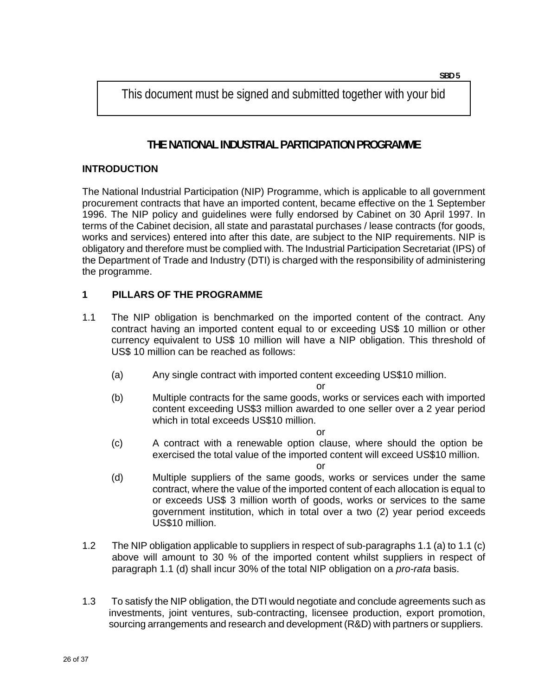This document must be signed and submitted together with your bid

## **THE NATIONAL INDUSTRIAL PARTICIPATION PROGRAMME**

## **INTRODUCTION**

The National Industrial Participation (NIP) Programme, which is applicable to all government procurement contracts that have an imported content, became effective on the 1 September 1996. The NIP policy and guidelines were fully endorsed by Cabinet on 30 April 1997. In terms of the Cabinet decision, all state and parastatal purchases / lease contracts (for goods, works and services) entered into after this date, are subject to the NIP requirements. NIP is obligatory and therefore must be complied with. The Industrial Participation Secretariat (IPS) of the Department of Trade and Industry (DTI) is charged with the responsibility of administering the programme.

## **1 PILLARS OF THE PROGRAMME**

- 1.1 The NIP obligation is benchmarked on the imported content of the contract. Any contract having an imported content equal to or exceeding US\$ 10 million or other currency equivalent to US\$ 10 million will have a NIP obligation. This threshold of US\$ 10 million can be reached as follows:
	- (a) Any single contract with imported content exceeding US\$10 million.

or

(b) Multiple contracts for the same goods, works or services each with imported content exceeding US\$3 million awarded to one seller over a 2 year period which in total exceeds US\$10 million.

or

(c) A contract with a renewable option clause, where should the option be exercised the total value of the imported content will exceed US\$10 million.

or

- (d) Multiple suppliers of the same goods, works or services under the same contract, where the value of the imported content of each allocation is equal to or exceeds US\$ 3 million worth of goods, works or services to the same government institution, which in total over a two (2) year period exceeds US\$10 million.
- 1.2 The NIP obligation applicable to suppliers in respect of sub-paragraphs 1.1 (a) to 1.1 (c) above will amount to 30 % of the imported content whilst suppliers in respect of paragraph 1.1 (d) shall incur 30% of the total NIP obligation on a *pro-rata* basis.
- 1.3 To satisfy the NIP obligation, the DTI would negotiate and conclude agreements such as investments, joint ventures, sub-contracting, licensee production, export promotion, sourcing arrangements and research and development (R&D) with partners or suppliers.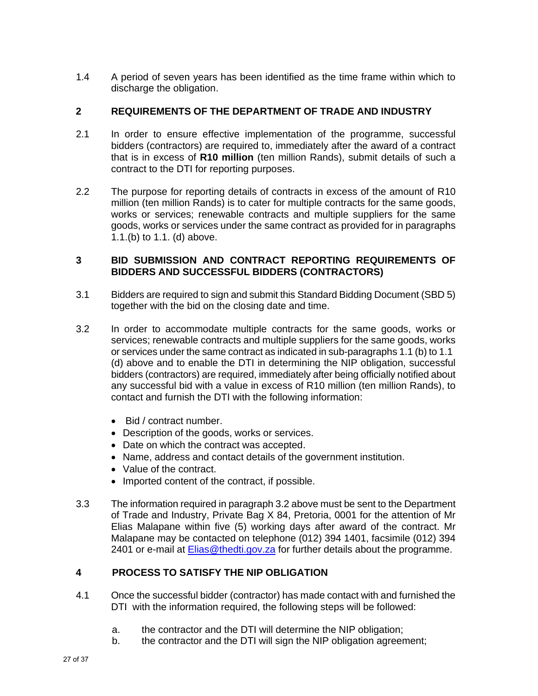1.4 A period of seven years has been identified as the time frame within which to discharge the obligation.

## **2 REQUIREMENTS OF THE DEPARTMENT OF TRADE AND INDUSTRY**

- 2.1 In order to ensure effective implementation of the programme, successful bidders (contractors) are required to, immediately after the award of a contract that is in excess of **R10 million** (ten million Rands), submit details of such a contract to the DTI for reporting purposes.
- 2.2 The purpose for reporting details of contracts in excess of the amount of R10 million (ten million Rands) is to cater for multiple contracts for the same goods, works or services; renewable contracts and multiple suppliers for the same goods, works or services under the same contract as provided for in paragraphs 1.1.(b) to 1.1. (d) above.

## **3 BID SUBMISSION AND CONTRACT REPORTING REQUIREMENTS OF BIDDERS AND SUCCESSFUL BIDDERS (CONTRACTORS)**

- 3.1 Bidders are required to sign and submit this Standard Bidding Document (SBD 5) together with the bid on the closing date and time.
- 3.2 In order to accommodate multiple contracts for the same goods, works or services; renewable contracts and multiple suppliers for the same goods, works or services under the same contract as indicated in sub-paragraphs 1.1 (b) to 1.1 (d) above and to enable the DTI in determining the NIP obligation, successful bidders (contractors) are required, immediately after being officially notified about any successful bid with a value in excess of R10 million (ten million Rands), to contact and furnish the DTI with the following information:
	- Bid / contract number.
	- Description of the goods, works or services.
	- Date on which the contract was accepted.
	- Name, address and contact details of the government institution.
	- Value of the contract.
	- Imported content of the contract, if possible.
- 3.3 The information required in paragraph 3.2 above must be sent to the Department of Trade and Industry, Private Bag X 84, Pretoria, 0001 for the attention of Mr Elias Malapane within five (5) working days after award of the contract. Mr Malapane may be contacted on telephone (012) 394 1401, facsimile (012) 394 2401 or e-mail at **Elias@thedti.gov.za** for further details about the programme.

## **4 PROCESS TO SATISFY THE NIP OBLIGATION**

- 4.1 Once the successful bidder (contractor) has made contact with and furnished the DTI with the information required, the following steps will be followed:
	- a. the contractor and the DTI will determine the NIP obligation;
	- b. the contractor and the DTI will sign the NIP obligation agreement;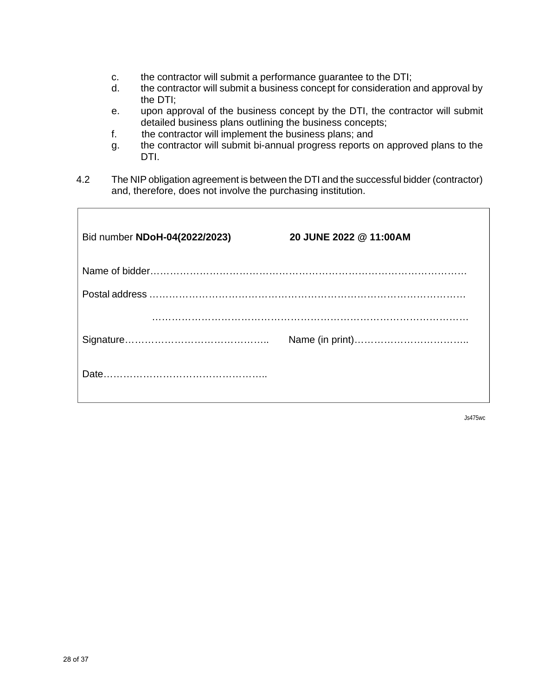- c. the contractor will submit a performance guarantee to the DTI;
- d. the contractor will submit a business concept for consideration and approval by the DTI;
- e. upon approval of the business concept by the DTI, the contractor will submit detailed business plans outlining the business concepts;
- f. the contractor will implement the business plans; and
- g. the contractor will submit bi-annual progress reports on approved plans to the DTI.
- 4.2 The NIP obligation agreement is between the DTI and the successful bidder (contractor) and, therefore, does not involve the purchasing institution.

| Bid number NDoH-04(2022/2023) | 20 JUNE 2022 @ 11:00AM |
|-------------------------------|------------------------|
|                               |                        |
|                               |                        |
|                               |                        |
|                               |                        |
|                               |                        |

Js475wc

 $\overline{1}$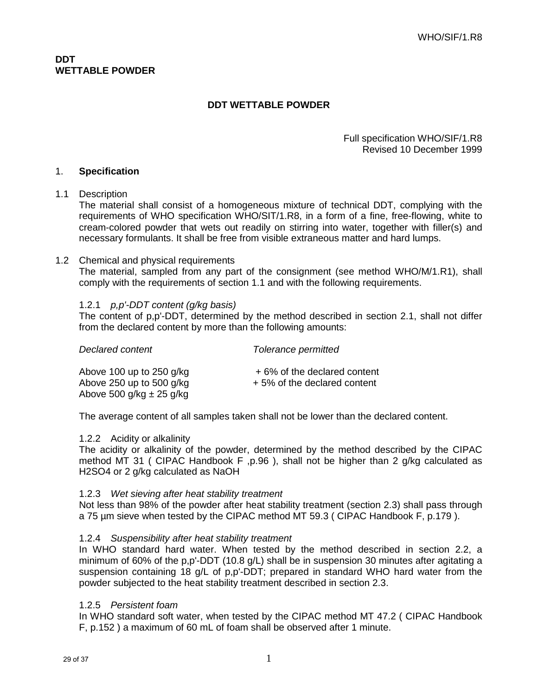#### Full specification WHO/SIF/1.R8 Revised 10 December 1999

### 1. **Specification**

#### 1.1 Description

The material shall consist of a homogeneous mixture of technical DDT, complying with the requirements of WHO specification WHO/SIT/1.R8, in a form of a fine, free-flowing, white to cream-colored powder that wets out readily on stirring into water, together with filler(s) and necessary formulants. It shall be free from visible extraneous matter and hard lumps.

#### 1.2 Chemical and physical requirements

The material, sampled from any part of the consignment (see method WHO/M/1.R1), shall comply with the requirements of section 1.1 and with the following requirements.

#### 1.2.1 p,p'-DDT content (g/kg basis)

The content of p,p'-DDT, determined by the method described in section 2.1, shall not differ from the declared content by more than the following amounts:

| Declared content                                                                         | Tolerance permitted                                        |
|------------------------------------------------------------------------------------------|------------------------------------------------------------|
| Above 100 up to 250 $q/kg$<br>Above 250 up to 500 $q/kg$<br>Above 500 g/kg $\pm$ 25 g/kg | +6% of the declared content<br>+5% of the declared content |

The average content of all samples taken shall not be lower than the declared content.

#### 1.2.2 Acidity or alkalinity

The acidity or alkalinity of the powder, determined by the method described by the CIPAC method MT 31 ( CIPAC Handbook F, p.96), shall not be higher than 2  $q/kg$  calculated as H2SO4 or 2 g/kg calculated as NaOH

#### 1.2.3 Wet sieving after heat stability treatment

Not less than 98% of the powder after heat stability treatment (section 2.3) shall pass through a 75 µm sieve when tested by the CIPAC method MT 59.3 ( CIPAC Handbook F, p.179 ).

#### 1.2.4 Suspensibility after heat stability treatment

In WHO standard hard water. When tested by the method described in section 2.2, a minimum of 60% of the p,p'-DDT (10.8 g/L) shall be in suspension 30 minutes after agitating a suspension containing 18 g/L of p,p'-DDT; prepared in standard WHO hard water from the powder subjected to the heat stability treatment described in section 2.3.

#### 1.2.5 Persistent foam

In WHO standard soft water, when tested by the CIPAC method MT 47.2 ( CIPAC Handbook F, p.152 ) a maximum of 60 mL of foam shall be observed after 1 minute.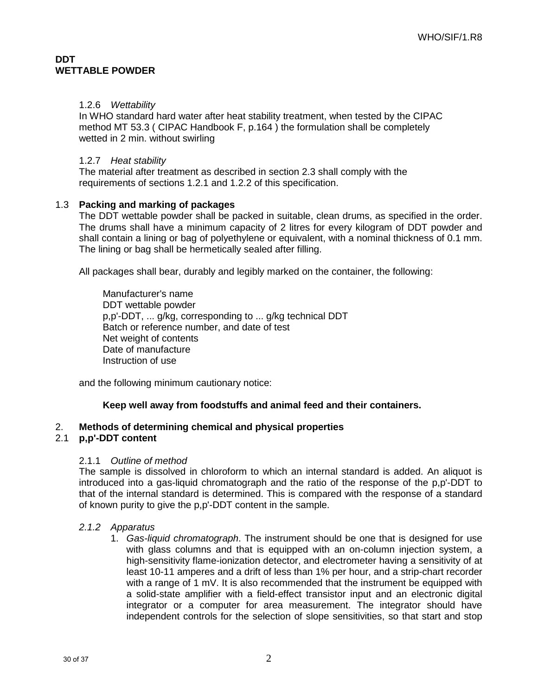## 1.2.6 Wettability

In WHO standard hard water after heat stability treatment, when tested by the CIPAC method MT 53.3 ( CIPAC Handbook F, p.164 ) the formulation shall be completely wetted in 2 min. without swirling

## 1.2.7 Heat stability

The material after treatment as described in section 2.3 shall comply with the requirements of sections 1.2.1 and 1.2.2 of this specification.

## 1.3 **Packing and marking of packages**

The DDT wettable powder shall be packed in suitable, clean drums, as specified in the order. The drums shall have a minimum capacity of 2 litres for every kilogram of DDT powder and shall contain a lining or bag of polyethylene or equivalent, with a nominal thickness of 0.1 mm. The lining or bag shall be hermetically sealed after filling.

All packages shall bear, durably and legibly marked on the container, the following:

Manufacturer's name DDT wettable powder p,p'-DDT, ... g/kg, corresponding to ... g/kg technical DDT Batch or reference number, and date of test Net weight of contents Date of manufacture Instruction of use

and the following minimum cautionary notice:

## **Keep well away from foodstuffs and animal feed and their containers.**

## 2. **Methods of determining chemical and physical properties**

## 2.1 **p,p'-DDT content**

## 2.1.1 Outline of method

The sample is dissolved in chloroform to which an internal standard is added. An aliquot is introduced into a gas-liquid chromatograph and the ratio of the response of the p,p'-DDT to that of the internal standard is determined. This is compared with the response of a standard of known purity to give the p,p'-DDT content in the sample.

## 2.1.2 Apparatus

1. Gas-liquid chromatograph. The instrument should be one that is designed for use with glass columns and that is equipped with an on-column injection system, a high-sensitivity flame-ionization detector, and electrometer having a sensitivity of at least 10-11 amperes and a drift of less than 1% per hour, and a strip-chart recorder with a range of 1 mV. It is also recommended that the instrument be equipped with a solid-state amplifier with a field-effect transistor input and an electronic digital integrator or a computer for area measurement. The integrator should have independent controls for the selection of slope sensitivities, so that start and stop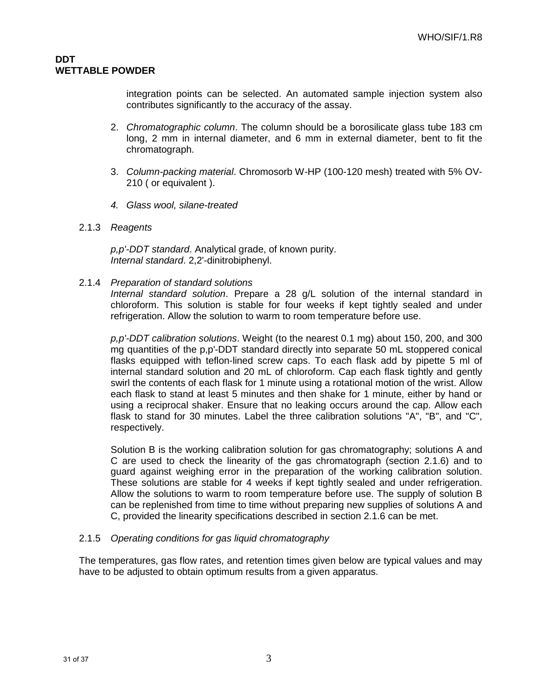integration points can be selected. An automated sample injection system also contributes significantly to the accuracy of the assay.

- 2. Chromatographic column. The column should be a borosilicate glass tube 183 cm long, 2 mm in internal diameter, and 6 mm in external diameter, bent to fit the chromatograph.
- 3. Column-packing material. Chromosorb W-HP (100-120 mesh) treated with 5% OV-210 ( or equivalent ).
- 4. Glass wool, silane-treated
- 2.1.3 Reagents

p,p'-DDT standard. Analytical grade, of known purity. Internal standard. 2,2'-dinitrobiphenyl.

2.1.4 Preparation of standard solutions

Internal standard solution. Prepare a 28 g/L solution of the internal standard in chloroform. This solution is stable for four weeks if kept tightly sealed and under refrigeration. Allow the solution to warm to room temperature before use.

p,p'-DDT calibration solutions. Weight (to the nearest 0.1 mg) about 150, 200, and 300 mg quantities of the p,p'-DDT standard directly into separate 50 mL stoppered conical flasks equipped with teflon-lined screw caps. To each flask add by pipette 5 ml of internal standard solution and 20 mL of chloroform. Cap each flask tightly and gently swirl the contents of each flask for 1 minute using a rotational motion of the wrist. Allow each flask to stand at least 5 minutes and then shake for 1 minute, either by hand or using a reciprocal shaker. Ensure that no leaking occurs around the cap. Allow each flask to stand for 30 minutes. Label the three calibration solutions "A", "B", and "C", respectively.

Solution B is the working calibration solution for gas chromatography; solutions A and C are used to check the linearity of the gas chromatograph (section 2.1.6) and to guard against weighing error in the preparation of the working calibration solution. These solutions are stable for 4 weeks if kept tightly sealed and under refrigeration. Allow the solutions to warm to room temperature before use. The supply of solution B can be replenished from time to time without preparing new supplies of solutions A and C, provided the linearity specifications described in section 2.1.6 can be met.

## 2.1.5 Operating conditions for gas liquid chromatography

The temperatures, gas flow rates, and retention times given below are typical values and may have to be adjusted to obtain optimum results from a given apparatus.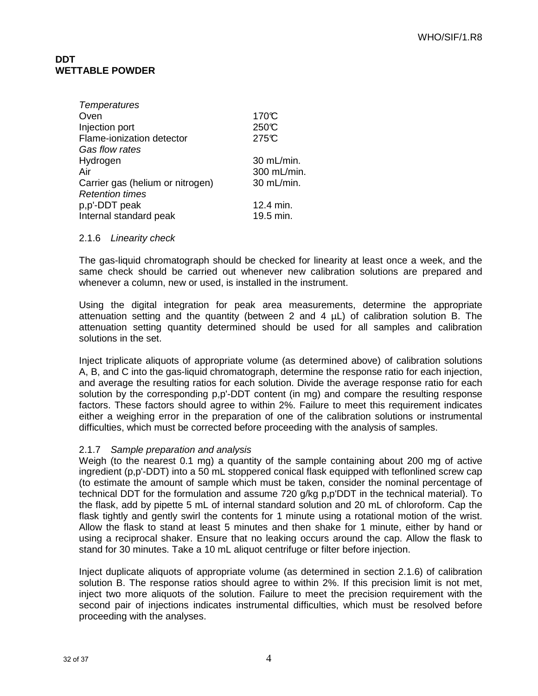| <b>Temperatures</b>              |             |
|----------------------------------|-------------|
| Oven                             | 170°C       |
| Injection port                   | 250℃        |
| Flame-ionization detector        | 275°C       |
| Gas flow rates                   |             |
| Hydrogen                         | 30 mL/min.  |
| Air                              | 300 mL/min. |
| Carrier gas (helium or nitrogen) | 30 mL/min.  |
| <b>Retention times</b>           |             |
| p,p'-DDT peak                    | 12.4 min.   |
| Internal standard peak           | 19.5 min.   |

#### 2.1.6 Linearity check

The gas-liquid chromatograph should be checked for linearity at least once a week, and the same check should be carried out whenever new calibration solutions are prepared and whenever a column, new or used, is installed in the instrument.

Using the digital integration for peak area measurements, determine the appropriate attenuation setting and the quantity (between 2 and 4  $\mu$ L) of calibration solution B. The attenuation setting quantity determined should be used for all samples and calibration solutions in the set.

Inject triplicate aliquots of appropriate volume (as determined above) of calibration solutions A, B, and C into the gas-liquid chromatograph, determine the response ratio for each injection, and average the resulting ratios for each solution. Divide the average response ratio for each solution by the corresponding p,p'-DDT content (in mg) and compare the resulting response factors. These factors should agree to within 2%. Failure to meet this requirement indicates either a weighing error in the preparation of one of the calibration solutions or instrumental difficulties, which must be corrected before proceeding with the analysis of samples.

## 2.1.7 Sample preparation and analysis

Weigh (to the nearest 0.1 mg) a quantity of the sample containing about 200 mg of active ingredient (p,p'-DDT) into a 50 mL stoppered conical flask equipped with teflonlined screw cap (to estimate the amount of sample which must be taken, consider the nominal percentage of technical DDT for the formulation and assume 720 g/kg p,p'DDT in the technical material). To the flask, add by pipette 5 mL of internal standard solution and 20 mL of chloroform. Cap the flask tightly and gently swirl the contents for 1 minute using a rotational motion of the wrist. Allow the flask to stand at least 5 minutes and then shake for 1 minute, either by hand or using a reciprocal shaker. Ensure that no leaking occurs around the cap. Allow the flask to stand for 30 minutes. Take a 10 mL aliquot centrifuge or filter before injection.

Inject duplicate aliquots of appropriate volume (as determined in section 2.1.6) of calibration solution B. The response ratios should agree to within 2%. If this precision limit is not met, inject two more aliquots of the solution. Failure to meet the precision requirement with the second pair of injections indicates instrumental difficulties, which must be resolved before proceeding with the analyses.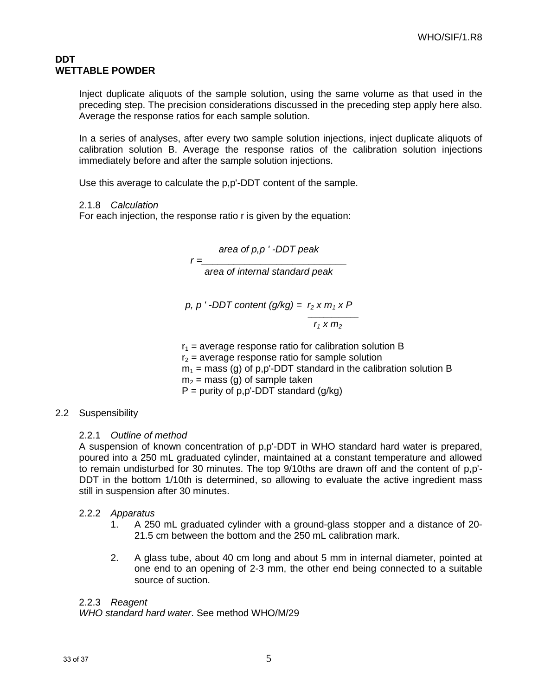Inject duplicate aliquots of the sample solution, using the same volume as that used in the preceding step. The precision considerations discussed in the preceding step apply here also. Average the response ratios for each sample solution.

In a series of analyses, after every two sample solution injections, inject duplicate aliquots of calibration solution B. Average the response ratios of the calibration solution injections immediately before and after the sample solution injections.

Use this average to calculate the p,p'-DDT content of the sample.

2.1.8 Calculation

For each injection, the response ratio r is given by the equation:

area of p,p ' -DDT peak

 $r = \_$ 

area of internal standard peak

p, p  $'$ -DDT content (q/kg) =  $r_2$  x m<sub>1</sub> x P

\_\_\_\_\_\_\_\_\_\_\_\_\_  $r_1$  x  $m_2$ 

 $r_1$  = average response ratio for calibration solution B  $r<sub>2</sub>$  = average response ratio for sample solution  $m_1$  = mass (g) of p,p'-DDT standard in the calibration solution B  $m<sub>2</sub>$  = mass (g) of sample taken  $P =$  purity of p,p'-DDT standard (g/kg)

## 2.2 Suspensibility

## 2.2.1 Outline of method

A suspension of known concentration of p,p'-DDT in WHO standard hard water is prepared, poured into a 250 mL graduated cylinder, maintained at a constant temperature and allowed to remain undisturbed for 30 minutes. The top 9/10ths are drawn off and the content of p,p'- DDT in the bottom 1/10th is determined, so allowing to evaluate the active ingredient mass still in suspension after 30 minutes.

## 2.2.2 Apparatus

- 1. A 250 mL graduated cylinder with a ground-glass stopper and a distance of 20- 21.5 cm between the bottom and the 250 mL calibration mark.
- 2. A glass tube, about 40 cm long and about 5 mm in internal diameter, pointed at one end to an opening of 2-3 mm, the other end being connected to a suitable source of suction.

## 2.2.3 Reagent

WHO standard hard water. See method WHO/M/29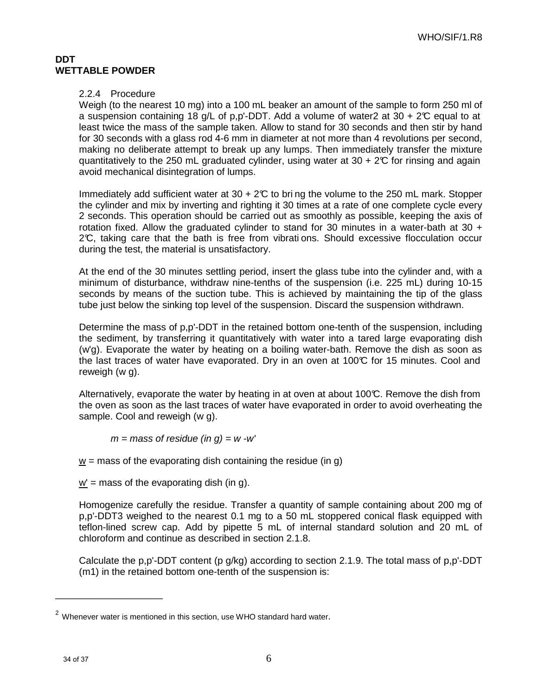### 2.2.4 Procedure

Weigh (to the nearest 10 mg) into a 100 mL beaker an amount of the sample to form 250 ml of a suspension containing 18 g/L of p,p'-DDT. Add a volume of water2 at 30 + 2°C equal to at least twice the mass of the sample taken. Allow to stand for 30 seconds and then stir by hand for 30 seconds with a glass rod 4-6 mm in diameter at not more than 4 revolutions per second, making no deliberate attempt to break up any lumps. Then immediately transfer the mixture quantitatively to the 250 mL graduated cylinder, using water at 30 +  $2\mathfrak{C}$  for rinsing and again avoid mechanical disintegration of lumps.

Immediately add sufficient water at  $30 + 2C$  to bring the volume to the 250 mL mark. Stopper the cylinder and mix by inverting and righting it 30 times at a rate of one complete cycle every 2 seconds. This operation should be carried out as smoothly as possible, keeping the axis of rotation fixed. Allow the graduated cylinder to stand for 30 minutes in a water-bath at 30  $+$ 2°C, taking care that the bath is free from vibrati ons. Should excessive flocculation occur during the test, the material is unsatisfactory.

At the end of the 30 minutes settling period, insert the glass tube into the cylinder and, with a minimum of disturbance, withdraw nine-tenths of the suspension (i.e. 225 mL) during 10-15 seconds by means of the suction tube. This is achieved by maintaining the tip of the glass tube just below the sinking top level of the suspension. Discard the suspension withdrawn.

Determine the mass of p,p'-DDT in the retained bottom one-tenth of the suspension, including the sediment, by transferring it quantitatively with water into a tared large evaporating dish (w'g). Evaporate the water by heating on a boiling water-bath. Remove the dish as soon as the last traces of water have evaporated. Dry in an oven at  $100\mathfrak{C}$  for 15 minutes. Cool and reweigh (w g).

Alternatively, evaporate the water by heating in at oven at about 100°C. Remove the dish from the oven as soon as the last traces of water have evaporated in order to avoid overheating the sample. Cool and reweigh (w g).

 $m =$  mass of residue (in g) = w -w'

 $w =$  mass of the evaporating dish containing the residue (in g)

 $w'$  = mass of the evaporating dish (in g).

Homogenize carefully the residue. Transfer a quantity of sample containing about 200 mg of p,p'-DDT3 weighed to the nearest 0.1 mg to a 50 mL stoppered conical flask equipped with teflon-lined screw cap. Add by pipette 5 mL of internal standard solution and 20 mL of chloroform and continue as described in section 2.1.8.

Calculate the p,p'-DDT content (p g/kg) according to section 2.1.9. The total mass of p,p'-DDT (m1) in the retained bottom one-tenth of the suspension is:

\_\_\_\_\_\_\_\_\_\_\_\_\_\_\_\_\_\_\_\_

 $2$  Whenever water is mentioned in this section, use WHO standard hard water.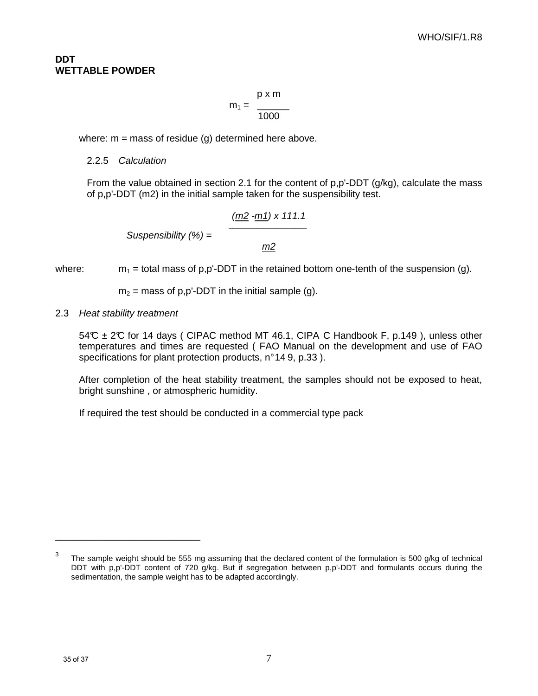$$
m_1 = \frac{p \times m}{1000}
$$

where:  $m =$  mass of residue (g) determined here above.

#### 2.2.5 Calculation

From the value obtained in section 2.1 for the content of p,p'-DDT (g/kg), calculate the mass of p,p'-DDT (m2) in the initial sample taken for the suspensibility test.

$$
\text{Suspensibility } (\%) = \frac{\frac{(m2 - m1) \times 111.1}{m2}}{m2}
$$

where:  $m_1$  = total mass of p,p'-DDT in the retained bottom one-tenth of the suspension (g).

 $m<sub>2</sub>$  = mass of p,p'-DDT in the initial sample (g).

2.3 Heat stability treatment

\_\_\_\_\_\_\_\_\_\_\_\_\_\_\_\_\_\_\_\_\_\_\_\_\_\_\_

 $54^{\circ}$  ± 2°C for 14 days ( CIPAC method MT 46.1, CIPA C Handbook F, p.149), unless other temperatures and times are requested ( FAO Manual on the development and use of FAO specifications for plant protection products, n°14 9, p.33).

After completion of the heat stability treatment, the samples should not be exposed to heat, bright sunshine , or atmospheric humidity.

If required the test should be conducted in a commercial type pack

 $3$  The sample weight should be 555 mg assuming that the declared content of the formulation is 500 g/kg of technical DDT with p,p'-DDT content of 720 g/kg. But if segregation between p,p'-DDT and formulants occurs during the sedimentation, the sample weight has to be adapted accordingly.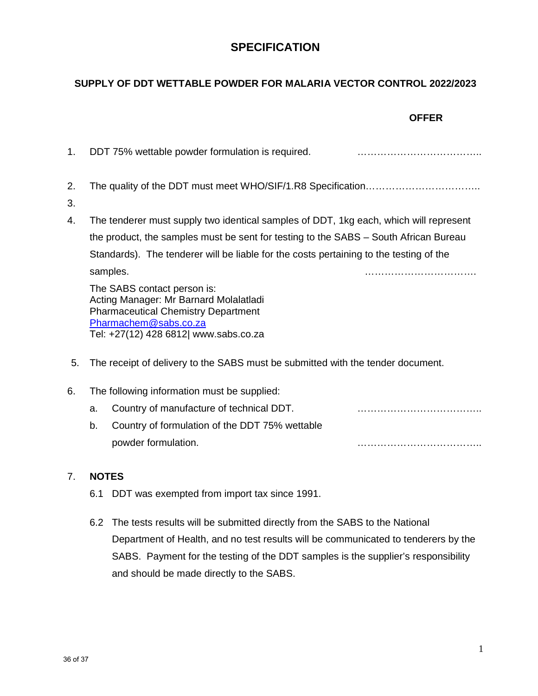## **SPECIFICATION**

## **SUPPLY OF DDT WETTABLE POWDER FOR MALARIA VECTOR CONTROL 2022/2023**

|          |    |                                                                                                                                                                                       | <b>OFFER</b> |
|----------|----|---------------------------------------------------------------------------------------------------------------------------------------------------------------------------------------|--------------|
| 1.       |    | DDT 75% wettable powder formulation is required.                                                                                                                                      |              |
| 2.<br>3. |    |                                                                                                                                                                                       |              |
| 4.       |    | The tenderer must supply two identical samples of DDT, 1kg each, which will represent                                                                                                 |              |
|          |    | the product, the samples must be sent for testing to the SABS - South African Bureau                                                                                                  |              |
|          |    | Standards). The tenderer will be liable for the costs pertaining to the testing of the                                                                                                |              |
|          |    | samples.                                                                                                                                                                              |              |
|          |    | The SABS contact person is:<br>Acting Manager: Mr Barnard Molalatladi<br><b>Pharmaceutical Chemistry Department</b><br>Pharmachem@sabs.co.za<br>Tel: +27(12) 428 6812  www.sabs.co.za |              |
| 5.       |    | The receipt of delivery to the SABS must be submitted with the tender document.                                                                                                       |              |
| 6.       |    | The following information must be supplied:                                                                                                                                           |              |
|          | a. | Country of manufacture of technical DDT.                                                                                                                                              |              |
|          | b. | Country of formulation of the DDT 75% wettable                                                                                                                                        |              |
|          |    | powder formulation.                                                                                                                                                                   |              |

## 7. **NOTES**

- 6.1 DDT was exempted from import tax since 1991.
- 6.2 The tests results will be submitted directly from the SABS to the National Department of Health, and no test results will be communicated to tenderers by the SABS. Payment for the testing of the DDT samples is the supplier's responsibility and should be made directly to the SABS.